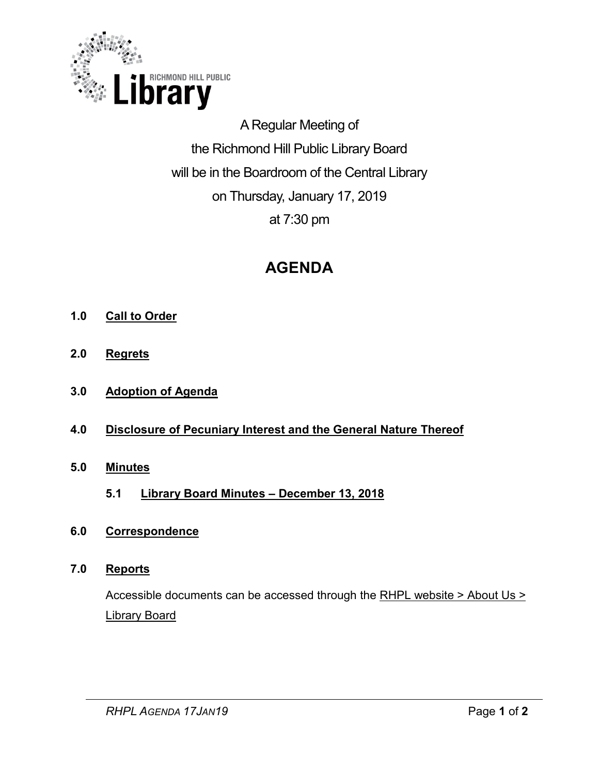

A Regular Meeting of the Richmond Hill Public Library Board will be in the Boardroom of the Central Library on Thursday, January 17, 2019 at 7:30 pm

# **AGENDA**

- **1.0 Call to Order**
- **2.0 Regrets**
- **3.0 Adoption of Agenda**
- **4.0 Disclosure of Pecuniary Interest and the General Nature Thereof**
- **5.0 Minutes** 
	- **5.1 [Library Board Minutes –](#page-2-0) December 13, 2018**
- **6.0 Correspondence**

# **7.0 Reports**

Accessible documents can be accessed through the [RHPL website > About Us >](https://www.rhpl.ca/your-library/about-us/library-board)  [Library Board](https://www.rhpl.ca/your-library/about-us/library-board)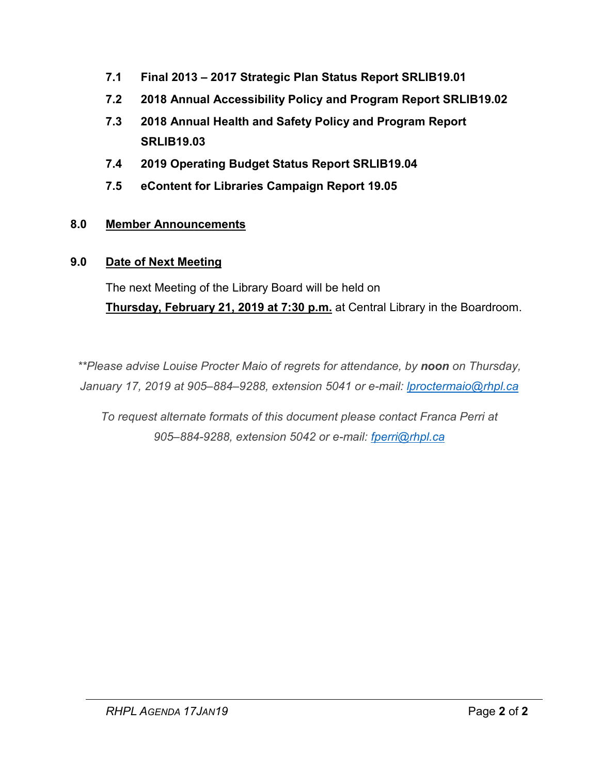- **7.1 Final 2013 – [2017 Strategic Plan Status Report SRLIB19.01](#page-12-0)**
- **7.2 [2018 Annual Accessibility Policy and Program Report SRLIB19.02](#page-16-0)**
- **7.3 [2018 Annual Health and Safety Policy and Program Report](#page-34-0)  SRLIB19.03**
- **7.4 [2019 Operating Budget Status](#page-52-0) Report SRLIB19.04**
- **7.5 [eContent for Libraries Campaign Report 19.05](#page-55-0)**

# **8.0 Member Announcements**

# **9.0 Date of Next Meeting**

The next Meeting of the Library Board will be held on **Thursday, February 21, 2019 at 7:30 p.m.** at Central Library in the Boardroom.

*\*\*Please advise Louise Procter Maio of regrets for attendance, by noon on Thursday, January 17, 2019 at 905–884–9288, extension 5041 or e-mail: lproctermaio@rhpl.ca*

*To request alternate formats of this document please contact Franca Perri at 905–884-9288, extension 5042 or e-mail: [fperri@rhpl.ca](mailto:fperri@rhpl.ca)*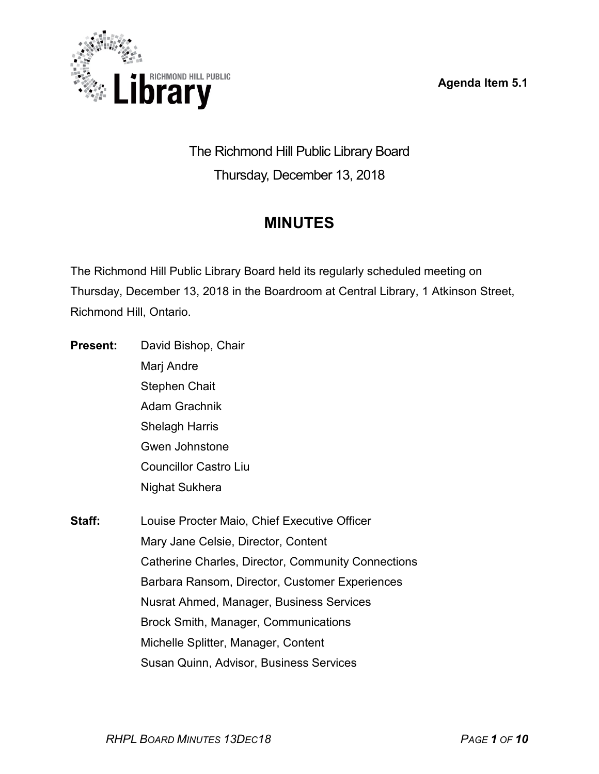**Agenda Item 5.1**

<span id="page-2-0"></span>

The Richmond Hill Public Library Board Thursday, December 13, 2018

# **MINUTES**

The Richmond Hill Public Library Board held its regularly scheduled meeting on Thursday, December 13, 2018 in the Boardroom at Central Library, 1 Atkinson Street, Richmond Hill, Ontario.

- **Present:** David Bishop, Chair Marj Andre Stephen Chait Adam Grachnik Shelagh Harris Gwen Johnstone Councillor Castro Liu Nighat Sukhera
- **Staff:** Louise Procter Maio, Chief Executive Officer Mary Jane Celsie, Director, Content Catherine Charles, Director, Community Connections Barbara Ransom, Director, Customer Experiences Nusrat Ahmed, Manager, Business Services Brock Smith, Manager, Communications Michelle Splitter, Manager, Content Susan Quinn, Advisor, Business Services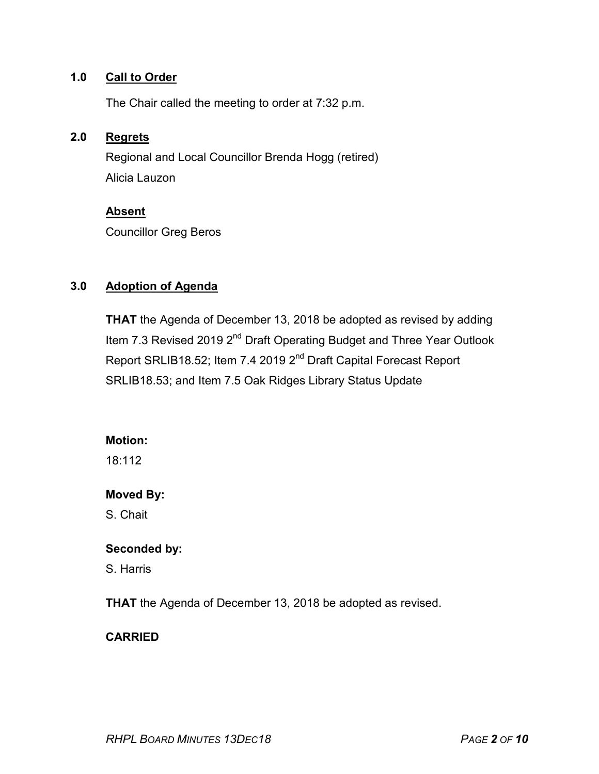#### **1.0 Call to Order**

The Chair called the meeting to order at 7:32 p.m.

#### **2.0 Regrets**

Regional and Local Councillor Brenda Hogg (retired) Alicia Lauzon

#### **Absent**

Councillor Greg Beros

# **3.0 Adoption of Agenda**

**THAT** the Agenda of December 13, 2018 be adopted as revised by adding Item 7.3 Revised 2019 2<sup>nd</sup> Draft Operating Budget and Three Year Outlook Report SRLIB18.52; Item 7.4 2019 2<sup>nd</sup> Draft Capital Forecast Report SRLIB18.53; and Item 7.5 Oak Ridges Library Status Update

#### **Motion:**

18:112

#### **Moved By:**

S. Chait

#### **Seconded by:**

S. Harris

**THAT** the Agenda of December 13, 2018 be adopted as revised.

# **CARRIED**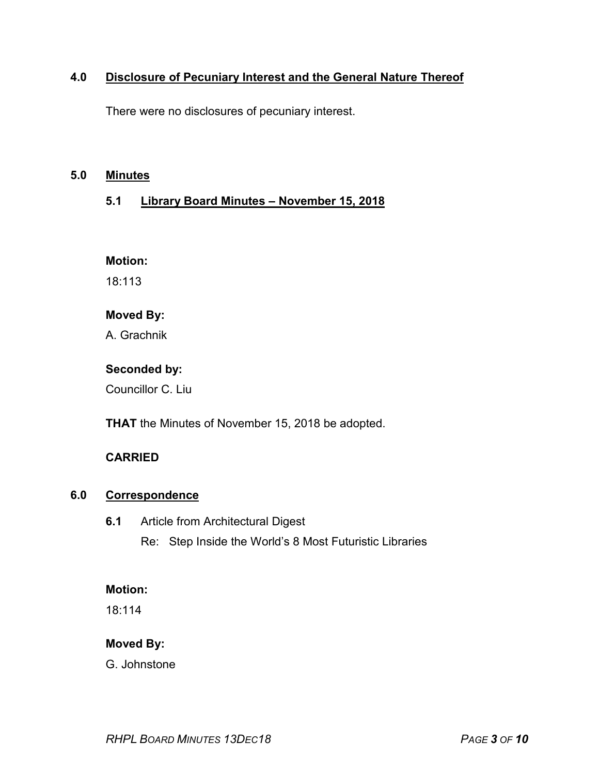# **4.0 Disclosure of Pecuniary Interest and the General Nature Thereof**

There were no disclosures of pecuniary interest.

#### **5.0 Minutes**

# **5.1 Library Board Minutes – November 15, 2018**

#### **Motion:**

18:113

# **Moved By:**

A. Grachnik

# **Seconded by:**

Councillor C. Liu

**THAT** the Minutes of November 15, 2018 be adopted.

# **CARRIED**

# **6.0 Correspondence**

**6.1** Article from Architectural Digest Re: Step Inside the World's 8 Most Futuristic Libraries

#### **Motion:**

18:114

# **Moved By:**

G. Johnstone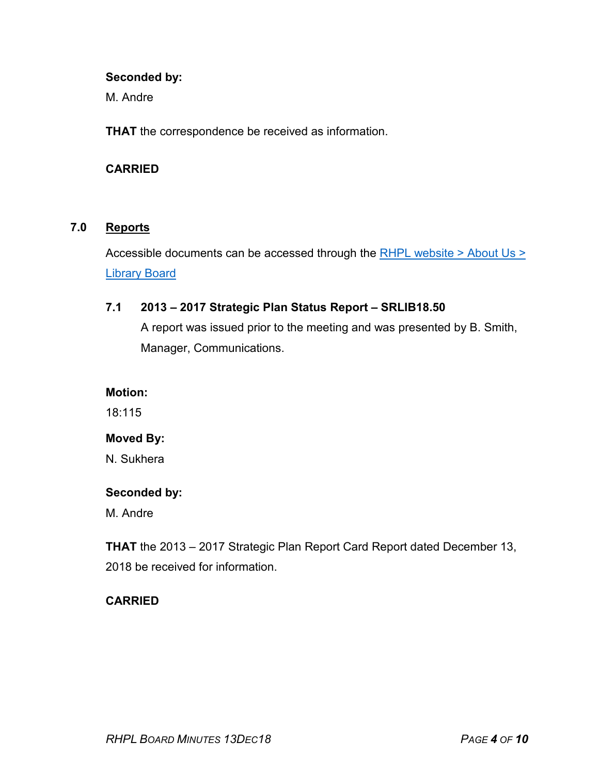#### **Seconded by:**

M. Andre

**THAT** the correspondence be received as information.

#### **CARRIED**

# **7.0 Reports**

Accessible documents can be accessed through the [RHPL website > About Us >](https://www.rhpl.ca/your-library/about-us/library-board)  [Library](http://www.rhpl.richmondhill.on.ca/AboutUs/LibraryBoard.cfm) Board

#### **7.1 2013 – 2017 Strategic Plan Status Report – SRLIB18.50**

A report was issued prior to the meeting and was presented by B. Smith, Manager, Communications.

#### **Motion:**

18:115

# **Moved By:**

N. Sukhera

#### **Seconded by:**

M. Andre

**THAT** the 2013 – 2017 Strategic Plan Report Card Report dated December 13, 2018 be received for information.

# **CARRIED**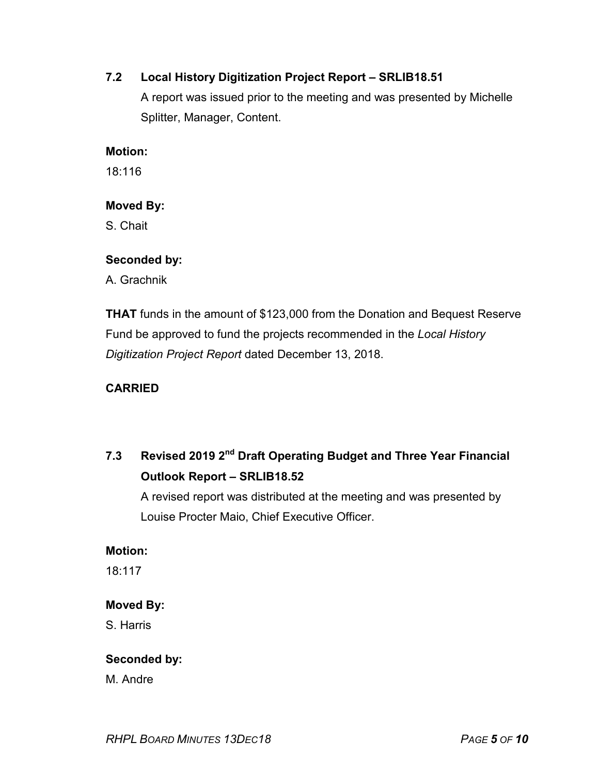# **7.2 Local History Digitization Project Report – SRLIB18.51**

A report was issued prior to the meeting and was presented by Michelle Splitter, Manager, Content.

#### **Motion:**

18:116

# **Moved By:**

S. Chait

#### **Seconded by:**

A. Grachnik

**THAT** funds in the amount of \$123,000 from the Donation and Bequest Reserve Fund be approved to fund the projects recommended in the *Local History Digitization Project Report* dated December 13, 2018.

# **CARRIED**

# **7.3 Revised 2019 2nd Draft Operating Budget and Three Year Financial Outlook Report – SRLIB18.52**

A revised report was distributed at the meeting and was presented by Louise Procter Maio, Chief Executive Officer.

#### **Motion:**

18:117

# **Moved By:**

S. Harris

# **Seconded by:**

M. Andre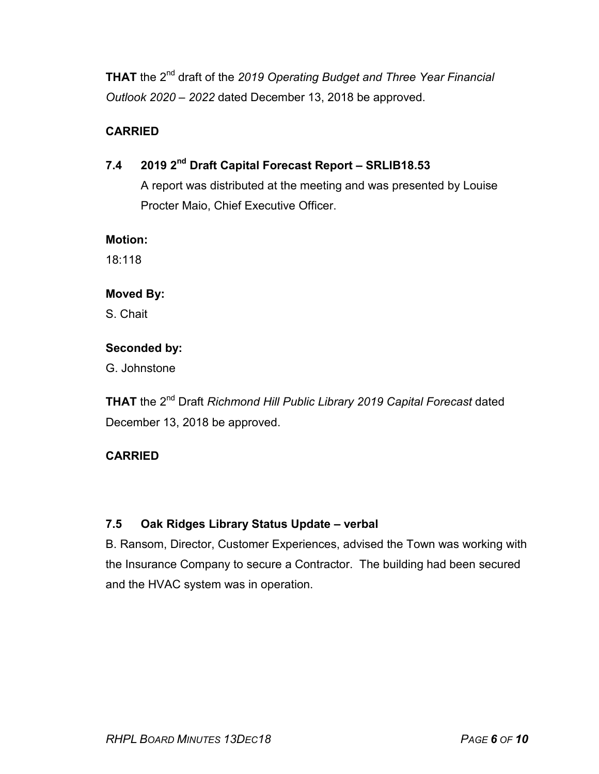**THAT** the 2nd draft of the *2019 Operating Budget and Three Year Financial Outlook 2020 – 2022* dated December 13, 2018 be approved.

# **CARRIED**

# **7.4 2019 2nd Draft Capital Forecast Report – SRLIB18.53**

A report was distributed at the meeting and was presented by Louise Procter Maio, Chief Executive Officer.

#### **Motion:**

18:118

# **Moved By:**

S. Chait

# **Seconded by:**

G. Johnstone

**THAT** the 2nd Draft *Richmond Hill Public Library 2019 Capital Forecast* dated December 13, 2018 be approved.

# **CARRIED**

# **7.5 Oak Ridges Library Status Update – verbal**

B. Ransom, Director, Customer Experiences, advised the Town was working with the Insurance Company to secure a Contractor. The building had been secured and the HVAC system was in operation.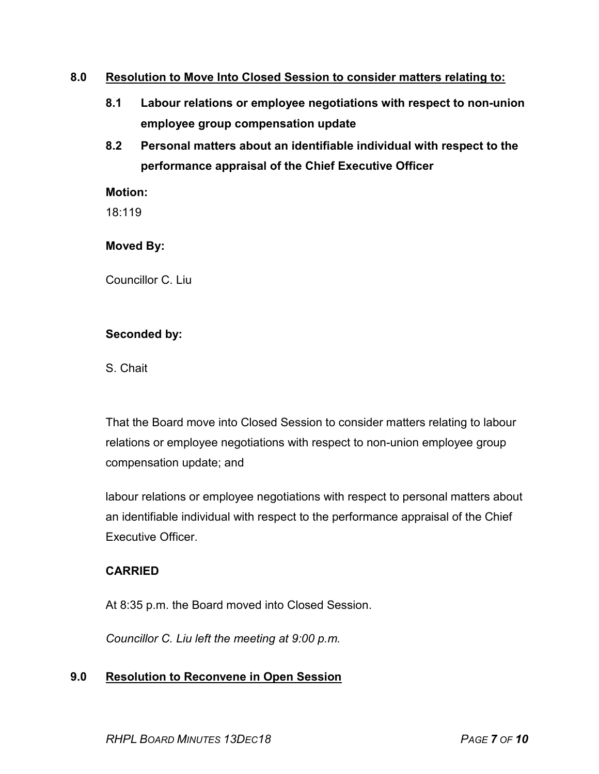## **8.0 Resolution to Move Into Closed Session to consider matters relating to:**

- **8.1 Labour relations or employee negotiations with respect to non-union employee group compensation update**
- **8.2 Personal matters about an identifiable individual with respect to the performance appraisal of the Chief Executive Officer**

#### **Motion:**

18:119

#### **Moved By:**

Councillor C. Liu

#### **Seconded by:**

S. Chait

That the Board move into Closed Session to consider matters relating to labour relations or employee negotiations with respect to non-union employee group compensation update; and

labour relations or employee negotiations with respect to personal matters about an identifiable individual with respect to the performance appraisal of the Chief Executive Officer.

# **CARRIED**

At 8:35 p.m. the Board moved into Closed Session.

*Councillor C. Liu left the meeting at 9:00 p.m.*

# **9.0 Resolution to Reconvene in Open Session**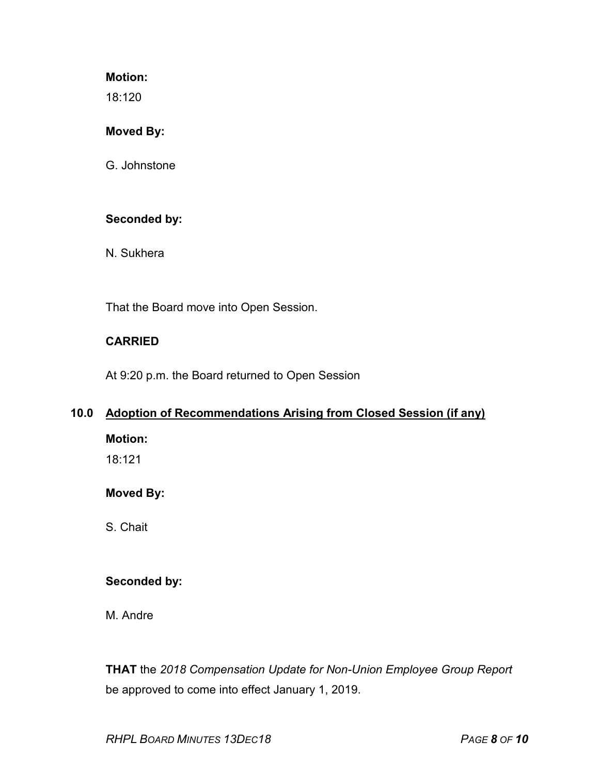#### **Motion:**

18:120

#### **Moved By:**

G. Johnstone

# **Seconded by:**

N. Sukhera

That the Board move into Open Session.

# **CARRIED**

At 9:20 p.m. the Board returned to Open Session

# **10.0 Adoption of Recommendations Arising from Closed Session (if any)**

**Motion:**

18:121

# **Moved By:**

S. Chait

# **Seconded by:**

M. Andre

**THAT** the *2018 Compensation Update for Non-Union Employee Group Report* be approved to come into effect January 1, 2019.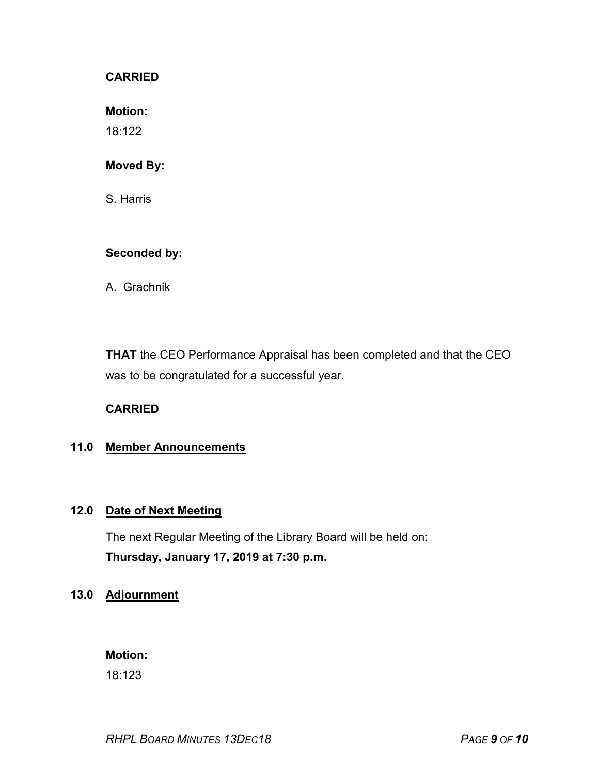#### **CARRIED**

**Motion:**

18:122

#### **Moved By:**

S. Harris

#### **Seconded by:**

A. Grachnik

**THAT** the CEO Performance Appraisal has been completed and that the CEO was to be congratulated for a successful year.

#### **CARRIED**

# **11.0 Member Announcements**

## **12.0 Date of Next Meeting**

The next Regular Meeting of the Library Board will be held on: **Thursday, January 17, 2019 at 7:30 p.m.**

#### **13.0 Adjournment**

**Motion:** 

18:123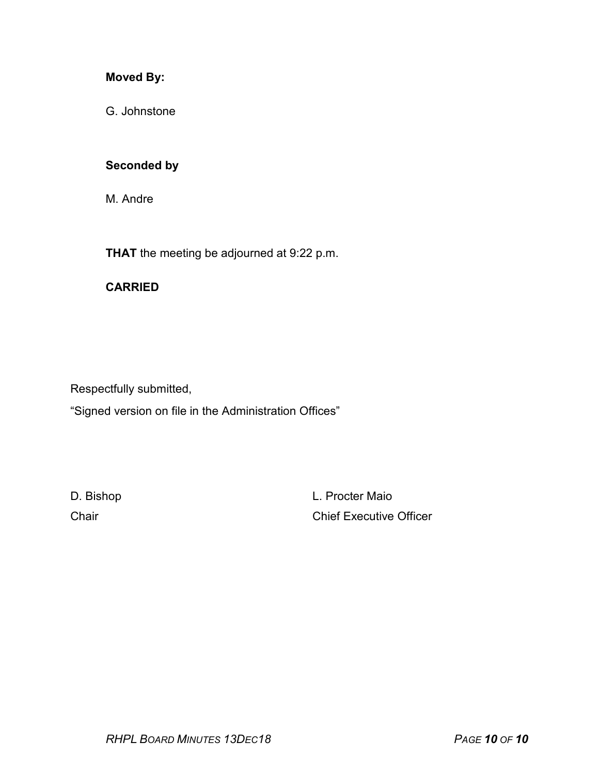# **Moved By:**

G. Johnstone

#### **Seconded by**

M. Andre

**THAT** the meeting be adjourned at 9:22 p.m.

#### **CARRIED**

Respectfully submitted,

"Signed version on file in the Administration Offices"

D. Bishop **L. Procter Maio** Chair Chair Chair Chief Executive Officer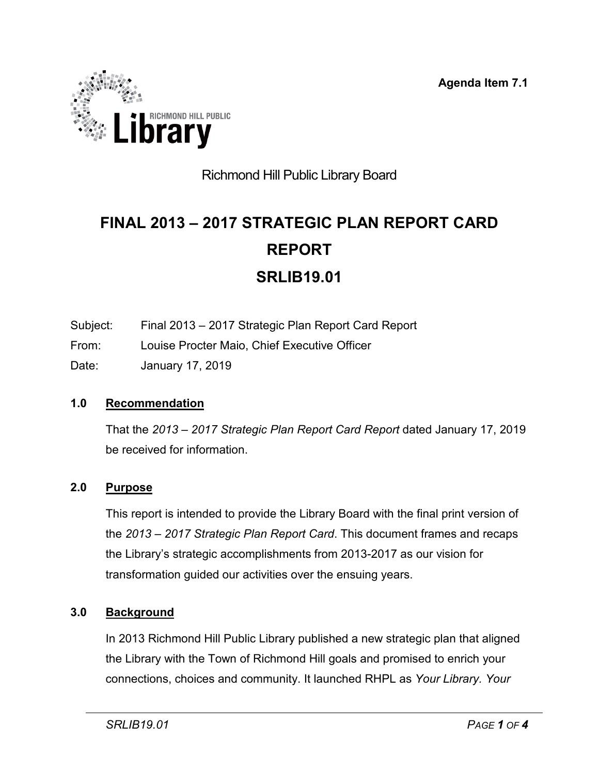**Agenda Item 7.1**

<span id="page-12-0"></span>

# Richmond Hill Public Library Board

# **FINAL 2013 – 2017 STRATEGIC PLAN REPORT CARD REPORT SRLIB19.01**

- Subject: Final 2013 2017 Strategic Plan Report Card Report
- From: Louise Procter Maio, Chief Executive Officer
- Date: January 17, 2019

# **1.0 Recommendation**

That the *2013 – 2017 Strategic Plan Report Card Report* dated January 17, 2019 be received for information.

# **2.0 Purpose**

This report is intended to provide the Library Board with the final print version of the *2013 – 2017 Strategic Plan Report Card*. This document frames and recaps the Library's strategic accomplishments from 2013-2017 as our vision for transformation guided our activities over the ensuing years.

# **3.0 Background**

In 2013 Richmond Hill Public Library published a new strategic plan that aligned the Library with the Town of Richmond Hill goals and promised to enrich your connections, choices and community. It launched RHPL as *Your Library. Your*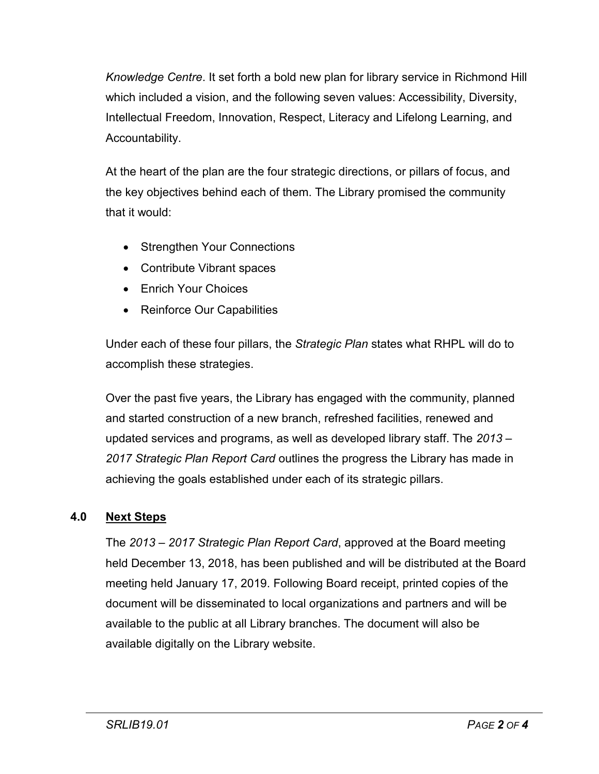*Knowledge Centre*. It set forth a bold new plan for library service in Richmond Hill which included a vision, and the following seven values: Accessibility, Diversity, Intellectual Freedom, Innovation, Respect, Literacy and Lifelong Learning, and Accountability.

At the heart of the plan are the four strategic directions, or pillars of focus, and the key objectives behind each of them. The Library promised the community that it would:

- Strengthen Your Connections
- Contribute Vibrant spaces
- Enrich Your Choices
- Reinforce Our Capabilities

Under each of these four pillars, the *Strategic Plan* states what RHPL will do to accomplish these strategies.

Over the past five years, the Library has engaged with the community, planned and started construction of a new branch, refreshed facilities, renewed and updated services and programs, as well as developed library staff. The *2013 – 2017 Strategic Plan Report Card* outlines the progress the Library has made in achieving the goals established under each of its strategic pillars.

# **4.0 Next Steps**

The *2013 – 2017 Strategic Plan Report Card*, approved at the Board meeting held December 13, 2018, has been published and will be distributed at the Board meeting held January 17, 2019. Following Board receipt, printed copies of the document will be disseminated to local organizations and partners and will be available to the public at all Library branches. The document will also be available digitally on the Library website.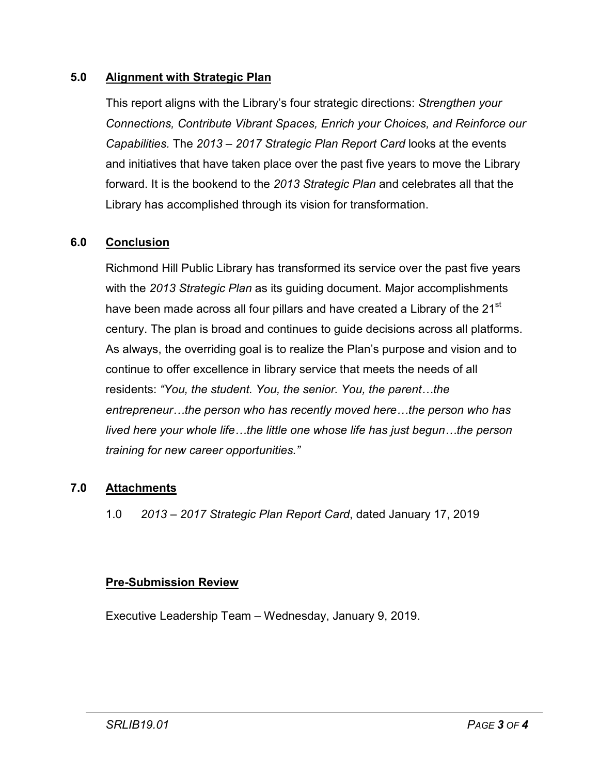# **5.0 Alignment with Strategic Plan**

This report aligns with the Library's four strategic directions: *Strengthen your Connections, Contribute Vibrant Spaces, Enrich your Choices, and Reinforce our Capabilities.* The *2013 – 2017 Strategic Plan Report Card* looks at the events and initiatives that have taken place over the past five years to move the Library forward. It is the bookend to the *2013 Strategic Plan* and celebrates all that the Library has accomplished through its vision for transformation.

# **6.0 Conclusion**

Richmond Hill Public Library has transformed its service over the past five years with the *2013 Strategic Plan* as its guiding document. Major accomplishments have been made across all four pillars and have created a Library of the 21<sup>st</sup> century. The plan is broad and continues to guide decisions across all platforms. As always, the overriding goal is to realize the Plan's purpose and vision and to continue to offer excellence in library service that meets the needs of all residents: *"You, the student. You, the senior. You, the parent…the entrepreneur…the person who has recently moved here…the person who has lived here your whole life…the little one whose life has just begun…the person training for new career opportunities."*

# **7.0 Attachments**

1.0 *2013 – 2017 Strategic Plan Report Card*, dated January 17, 2019

# **Pre-Submission Review**

Executive Leadership Team – Wednesday, January 9, 2019.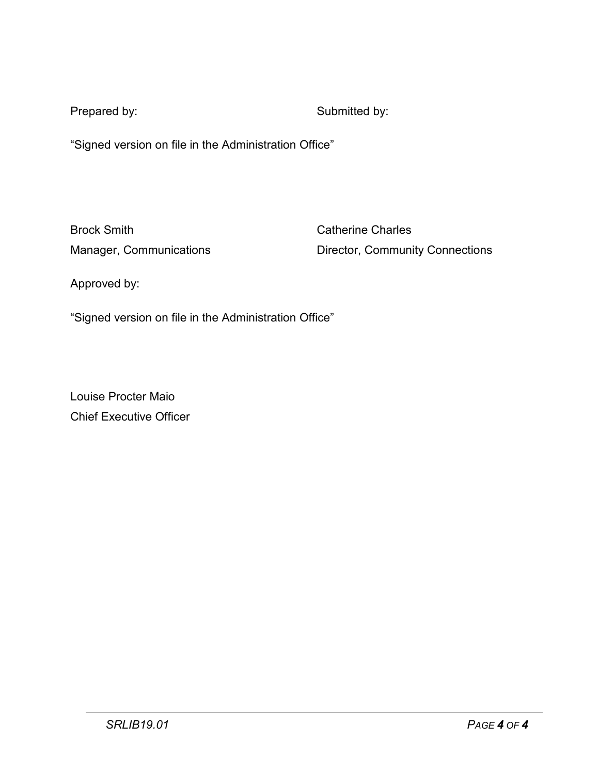Prepared by: Submitted by:

"Signed version on file in the Administration Office"

Brock Smith Catherine Charles

Manager, Communications **Director, Community Connections** 

Approved by:

"Signed version on file in the Administration Office"

Louise Procter Maio Chief Executive Officer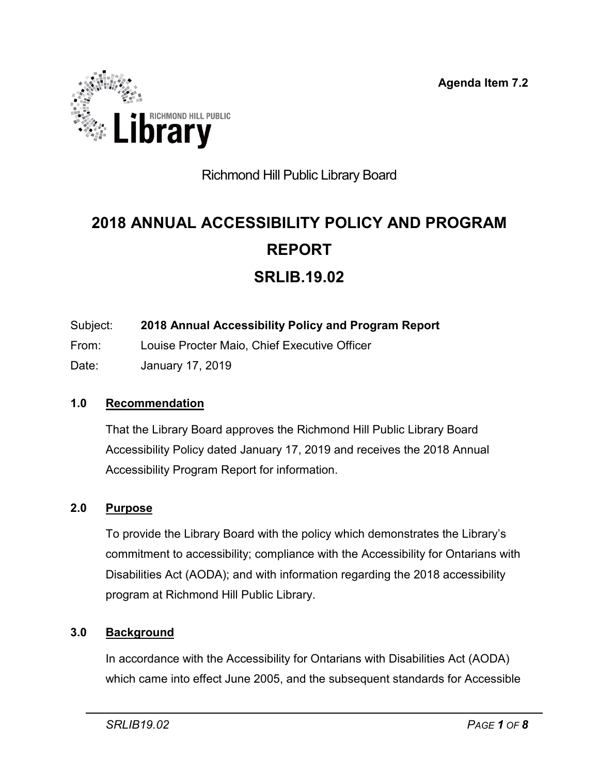**Agenda Item 7.2**

<span id="page-16-0"></span>

# Richmond Hill Public Library Board

# **2018 ANNUAL ACCESSIBILITY POLICY AND PROGRAM REPORT SRLIB.19.02**

- Subject: **2018 Annual Accessibility Policy and Program Report**
- From: Louise Procter Maio, Chief Executive Officer
- Date: January 17, 2019

# **1.0 Recommendation**

That the Library Board approves the Richmond Hill Public Library Board Accessibility Policy dated January 17, 2019 and receives the 2018 Annual Accessibility Program Report for information.

# **2.0 Purpose**

To provide the Library Board with the policy which demonstrates the Library's commitment to accessibility; compliance with the Accessibility for Ontarians with Disabilities Act (AODA); and with information regarding the 2018 accessibility program at Richmond Hill Public Library.

# **3.0 Background**

In accordance with the Accessibility for Ontarians with Disabilities Act (AODA) which came into effect June 2005, and the subsequent standards for Accessible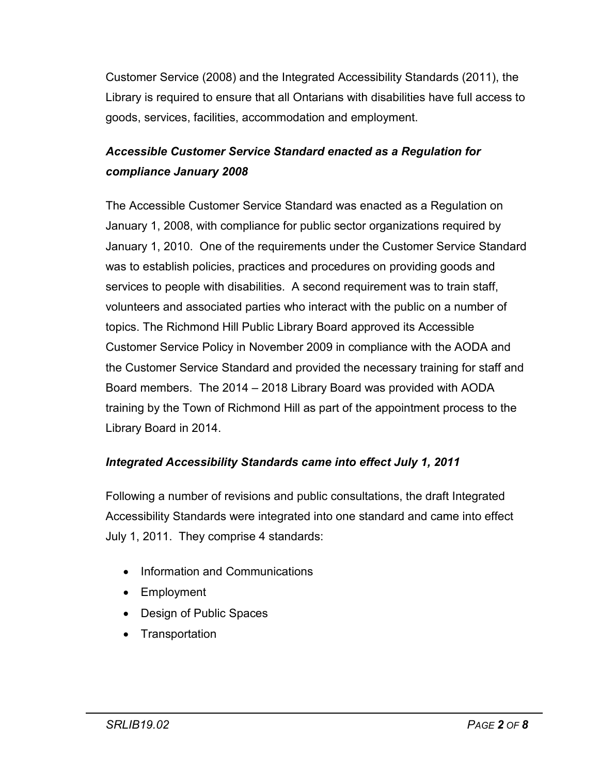Customer Service (2008) and the Integrated Accessibility Standards (2011), the Library is required to ensure that all Ontarians with disabilities have full access to goods, services, facilities, accommodation and employment.

# *Accessible Customer Service Standard enacted as a Regulation for compliance January 2008*

The Accessible Customer Service Standard was enacted as a Regulation on January 1, 2008, with compliance for public sector organizations required by January 1, 2010. One of the requirements under the Customer Service Standard was to establish policies, practices and procedures on providing goods and services to people with disabilities. A second requirement was to train staff, volunteers and associated parties who interact with the public on a number of topics. The Richmond Hill Public Library Board approved its Accessible Customer Service Policy in November 2009 in compliance with the AODA and the Customer Service Standard and provided the necessary training for staff and Board members. The 2014 – 2018 Library Board was provided with AODA training by the Town of Richmond Hill as part of the appointment process to the Library Board in 2014.

# *Integrated Accessibility Standards came into effect July 1, 2011*

Following a number of revisions and public consultations, the draft Integrated Accessibility Standards were integrated into one standard and came into effect July 1, 2011. They comprise 4 standards:

- Information and Communications
- Employment
- Design of Public Spaces
- **Transportation**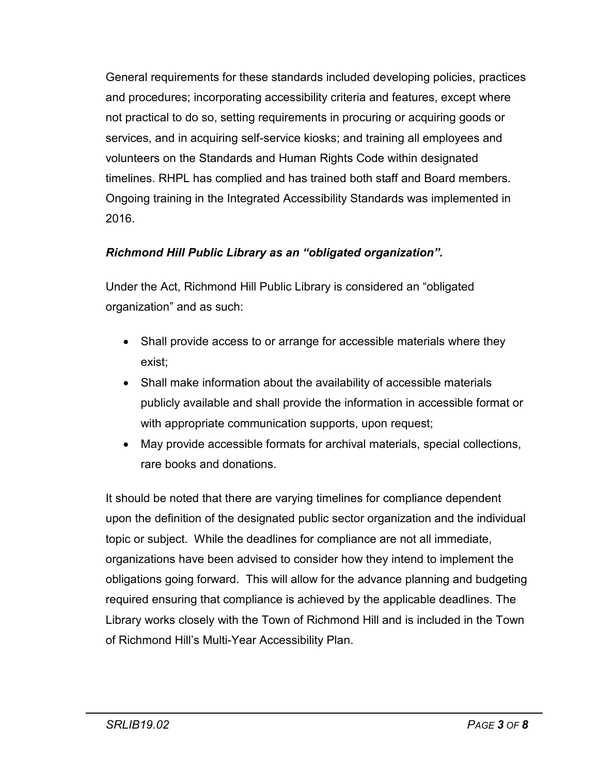General requirements for these standards included developing policies, practices and procedures; incorporating accessibility criteria and features, except where not practical to do so, setting requirements in procuring or acquiring goods or services, and in acquiring self-service kiosks; and training all employees and volunteers on the Standards and Human Rights Code within designated timelines. RHPL has complied and has trained both staff and Board members. Ongoing training in the Integrated Accessibility Standards was implemented in 2016.

# *Richmond Hill Public Library as an "obligated organization".*

Under the Act, Richmond Hill Public Library is considered an "obligated organization" and as such:

- Shall provide access to or arrange for accessible materials where they exist;
- Shall make information about the availability of accessible materials publicly available and shall provide the information in accessible format or with appropriate communication supports, upon request;
- May provide accessible formats for archival materials, special collections, rare books and donations.

It should be noted that there are varying timelines for compliance dependent upon the definition of the designated public sector organization and the individual topic or subject. While the deadlines for compliance are not all immediate, organizations have been advised to consider how they intend to implement the obligations going forward. This will allow for the advance planning and budgeting required ensuring that compliance is achieved by the applicable deadlines. The Library works closely with the Town of Richmond Hill and is included in the Town of Richmond Hill's Multi-Year Accessibility Plan.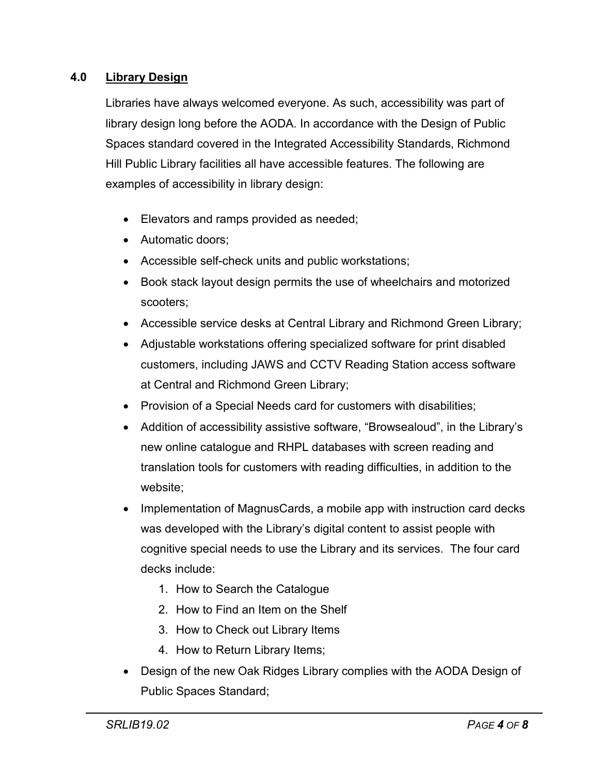# **4.0 Library Design**

Libraries have always welcomed everyone. As such, accessibility was part of library design long before the AODA. In accordance with the Design of Public Spaces standard covered in the Integrated Accessibility Standards, Richmond Hill Public Library facilities all have accessible features. The following are examples of accessibility in library design:

- Elevators and ramps provided as needed;
- Automatic doors:
- Accessible self-check units and public workstations;
- Book stack layout design permits the use of wheelchairs and motorized scooters;
- Accessible service desks at Central Library and Richmond Green Library;
- Adjustable workstations offering specialized software for print disabled customers, including JAWS and CCTV Reading Station access software at Central and Richmond Green Library;
- Provision of a Special Needs card for customers with disabilities;
- Addition of accessibility assistive software, "Browsealoud", in the Library's new online catalogue and RHPL databases with screen reading and translation tools for customers with reading difficulties, in addition to the website;
- Implementation of MagnusCards, a mobile app with instruction card decks was developed with the Library's digital content to assist people with cognitive special needs to use the Library and its services. The four card decks include:
	- 1. How to Search the Catalogue
	- 2. How to Find an Item on the Shelf
	- 3. How to Check out Library Items
	- 4. How to Return Library Items;
- Design of the new Oak Ridges Library complies with the AODA Design of Public Spaces Standard;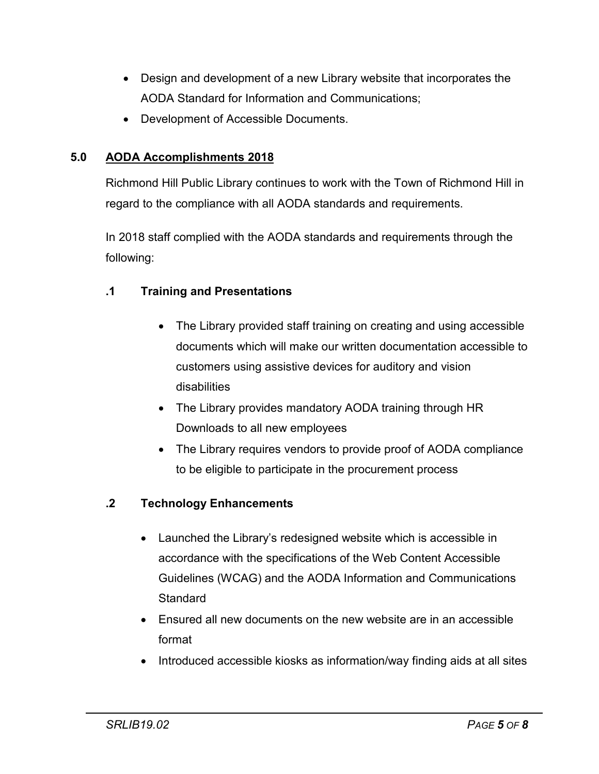- Design and development of a new Library website that incorporates the AODA Standard for Information and Communications;
- Development of Accessible Documents.

# **5.0 AODA Accomplishments 2018**

Richmond Hill Public Library continues to work with the Town of Richmond Hill in regard to the compliance with all AODA standards and requirements.

In 2018 staff complied with the AODA standards and requirements through the following:

# **.1 Training and Presentations**

- The Library provided staff training on creating and using accessible documents which will make our written documentation accessible to customers using assistive devices for auditory and vision disabilities
- The Library provides mandatory AODA training through HR Downloads to all new employees
- The Library requires vendors to provide proof of AODA compliance to be eligible to participate in the procurement process

# **.2 Technology Enhancements**

- Launched the Library's redesigned website which is accessible in accordance with the specifications of the Web Content Accessible Guidelines (WCAG) and the AODA Information and Communications **Standard**
- Ensured all new documents on the new website are in an accessible format
- Introduced accessible kiosks as information/way finding aids at all sites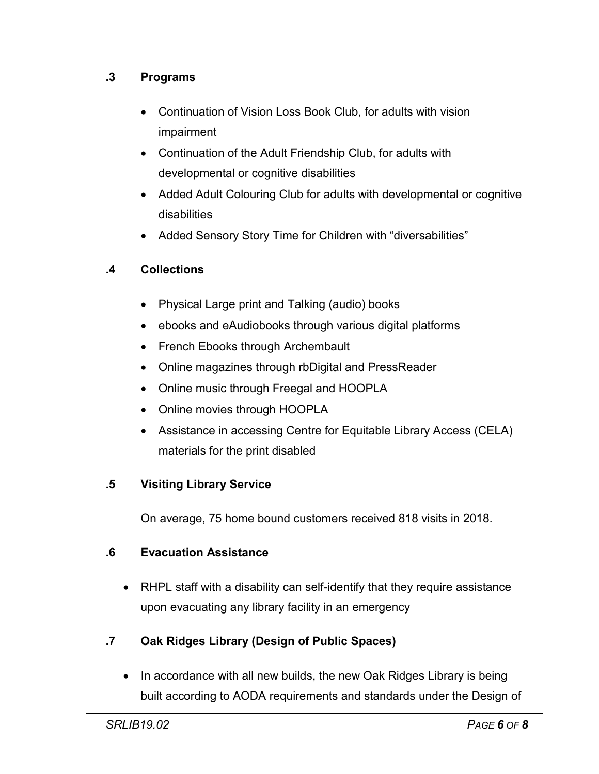# **.3 Programs**

- Continuation of Vision Loss Book Club, for adults with vision impairment
- Continuation of the Adult Friendship Club, for adults with developmental or cognitive disabilities
- Added Adult Colouring Club for adults with developmental or cognitive disabilities
- Added Sensory Story Time for Children with "diversabilities"

# **.4 Collections**

- Physical Large print and Talking (audio) books
- ebooks and eAudiobooks through various digital platforms
- French Ebooks through Archembault
- Online magazines through rbDigital and PressReader
- Online music through Freegal and HOOPLA
- Online movies through HOOPLA
- Assistance in accessing Centre for Equitable Library Access (CELA) materials for the print disabled

# **.5 Visiting Library Service**

On average, 75 home bound customers received 818 visits in 2018.

# **.6 Evacuation Assistance**

• RHPL staff with a disability can self-identify that they require assistance upon evacuating any library facility in an emergency

# **.7 Oak Ridges Library (Design of Public Spaces)**

• In accordance with all new builds, the new Oak Ridges Library is being built according to AODA requirements and standards under the Design of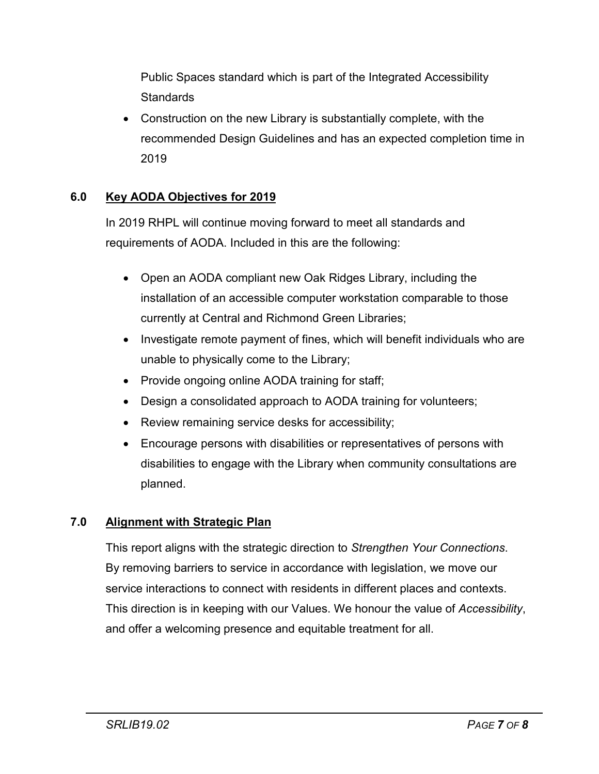Public Spaces standard which is part of the Integrated Accessibility **Standards** 

• Construction on the new Library is substantially complete, with the recommended Design Guidelines and has an expected completion time in 2019

# **6.0 Key AODA Objectives for 2019**

In 2019 RHPL will continue moving forward to meet all standards and requirements of AODA. Included in this are the following:

- Open an AODA compliant new Oak Ridges Library, including the installation of an accessible computer workstation comparable to those currently at Central and Richmond Green Libraries;
- Investigate remote payment of fines, which will benefit individuals who are unable to physically come to the Library;
- Provide ongoing online AODA training for staff;
- Design a consolidated approach to AODA training for volunteers;
- Review remaining service desks for accessibility;
- Encourage persons with disabilities or representatives of persons with disabilities to engage with the Library when community consultations are planned.

# **7.0 Alignment with Strategic Plan**

This report aligns with the strategic direction to *Strengthen Your Connections*. By removing barriers to service in accordance with legislation, we move our service interactions to connect with residents in different places and contexts. This direction is in keeping with our Values. We honour the value of *Accessibility*, and offer a welcoming presence and equitable treatment for all.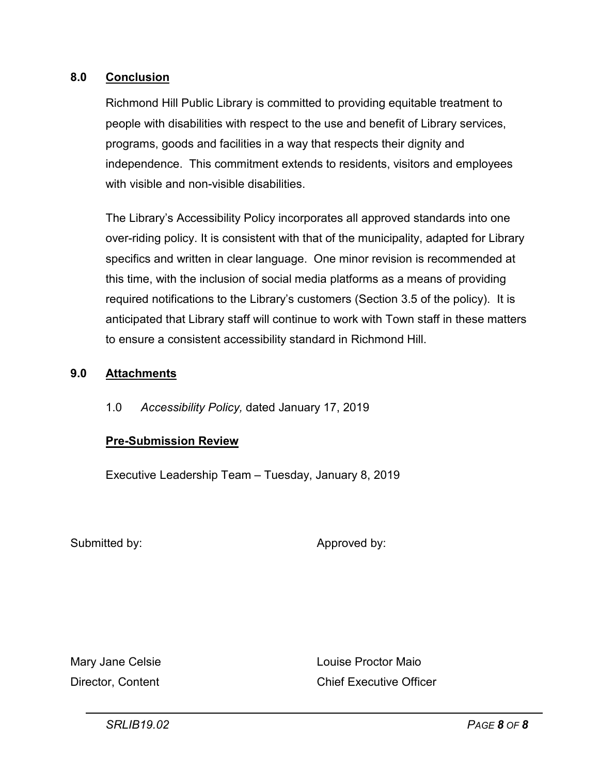#### **8.0 Conclusion**

Richmond Hill Public Library is committed to providing equitable treatment to people with disabilities with respect to the use and benefit of Library services, programs, goods and facilities in a way that respects their dignity and independence. This commitment extends to residents, visitors and employees with visible and non-visible disabilities.

The Library's Accessibility Policy incorporates all approved standards into one over-riding policy. It is consistent with that of the municipality, adapted for Library specifics and written in clear language. One minor revision is recommended at this time, with the inclusion of social media platforms as a means of providing required notifications to the Library's customers (Section 3.5 of the policy). It is anticipated that Library staff will continue to work with Town staff in these matters to ensure a consistent accessibility standard in Richmond Hill.

# **9.0 Attachments**

1.0 *Accessibility Policy,* dated January 17, 2019

#### **Pre-Submission Review**

Executive Leadership Team – Tuesday, January 8, 2019

Submitted by: Approved by:

Mary Jane Celsie **Louise Proctor Maio** Director, Content Chief Executive Officer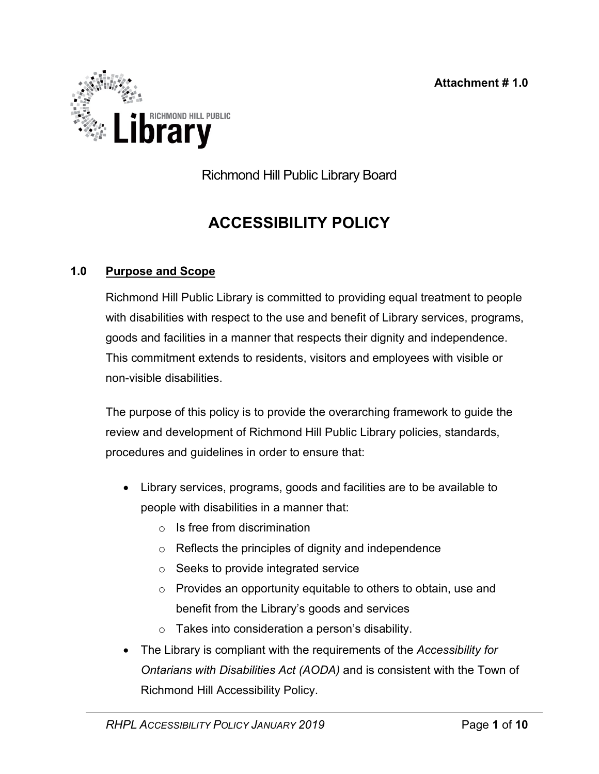

Richmond Hill Public Library Board

# **ACCESSIBILITY POLICY**

# **1.0 Purpose and Scope**

Richmond Hill Public Library is committed to providing equal treatment to people with disabilities with respect to the use and benefit of Library services, programs, goods and facilities in a manner that respects their dignity and independence. This commitment extends to residents, visitors and employees with visible or non-visible disabilities.

The purpose of this policy is to provide the overarching framework to guide the review and development of Richmond Hill Public Library policies, standards, procedures and guidelines in order to ensure that:

- Library services, programs, goods and facilities are to be available to people with disabilities in a manner that:
	- $\circ$  Is free from discrimination
	- o Reflects the principles of dignity and independence
	- o Seeks to provide integrated service
	- o Provides an opportunity equitable to others to obtain, use and benefit from the Library's goods and services
	- o Takes into consideration a person's disability.
- The Library is compliant with the requirements of the *Accessibility for Ontarians with Disabilities Act (AODA)* and is consistent with the Town of Richmond Hill Accessibility Policy.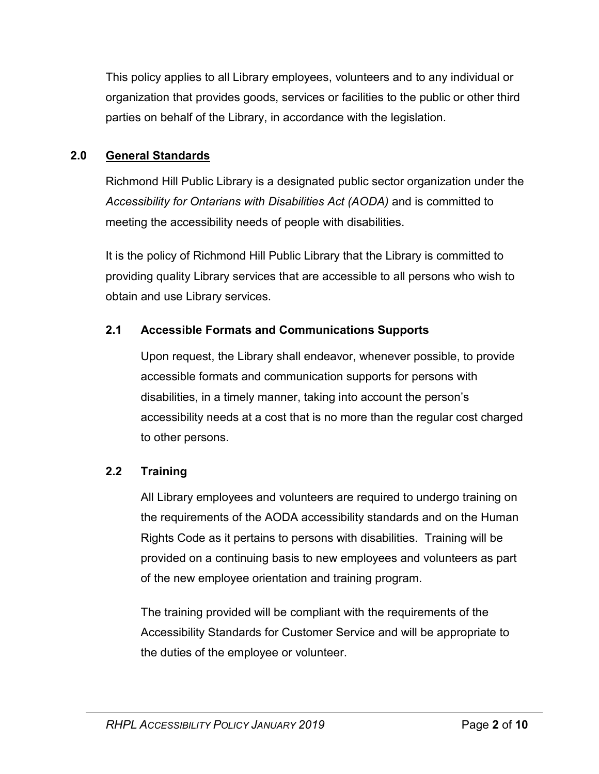This policy applies to all Library employees, volunteers and to any individual or organization that provides goods, services or facilities to the public or other third parties on behalf of the Library, in accordance with the legislation.

# **2.0 General Standards**

Richmond Hill Public Library is a designated public sector organization under the *Accessibility for Ontarians with Disabilities Act (AODA)* and is committed to meeting the accessibility needs of people with disabilities.

It is the policy of Richmond Hill Public Library that the Library is committed to providing quality Library services that are accessible to all persons who wish to obtain and use Library services.

# **2.1 Accessible Formats and Communications Supports**

Upon request, the Library shall endeavor, whenever possible, to provide accessible formats and communication supports for persons with disabilities, in a timely manner, taking into account the person's accessibility needs at a cost that is no more than the regular cost charged to other persons.

# **2.2 Training**

All Library employees and volunteers are required to undergo training on the requirements of the AODA accessibility standards and on the Human Rights Code as it pertains to persons with disabilities. Training will be provided on a continuing basis to new employees and volunteers as part of the new employee orientation and training program.

The training provided will be compliant with the requirements of the Accessibility Standards for Customer Service and will be appropriate to the duties of the employee or volunteer.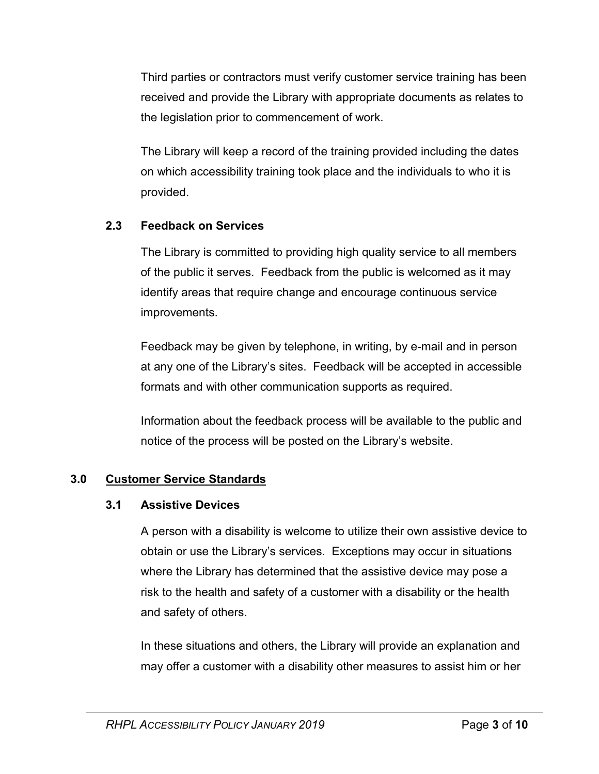Third parties or contractors must verify customer service training has been received and provide the Library with appropriate documents as relates to the legislation prior to commencement of work.

The Library will keep a record of the training provided including the dates on which accessibility training took place and the individuals to who it is provided.

# **2.3 Feedback on Services**

The Library is committed to providing high quality service to all members of the public it serves. Feedback from the public is welcomed as it may identify areas that require change and encourage continuous service improvements.

Feedback may be given by telephone, in writing, by e-mail and in person at any one of the Library's sites. Feedback will be accepted in accessible formats and with other communication supports as required.

Information about the feedback process will be available to the public and notice of the process will be posted on the Library's website.

# **3.0 Customer Service Standards**

# **3.1 Assistive Devices**

A person with a disability is welcome to utilize their own assistive device to obtain or use the Library's services. Exceptions may occur in situations where the Library has determined that the assistive device may pose a risk to the health and safety of a customer with a disability or the health and safety of others.

In these situations and others, the Library will provide an explanation and may offer a customer with a disability other measures to assist him or her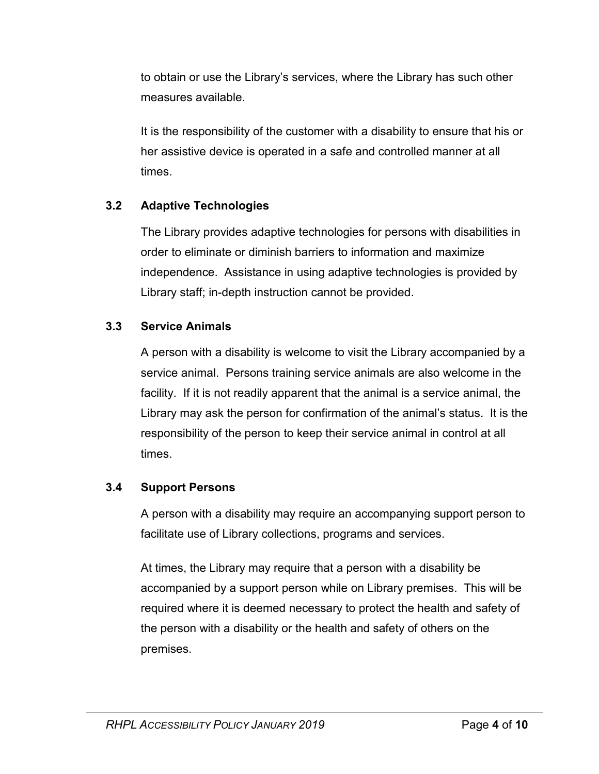to obtain or use the Library's services, where the Library has such other measures available.

It is the responsibility of the customer with a disability to ensure that his or her assistive device is operated in a safe and controlled manner at all times.

# **3.2 Adaptive Technologies**

The Library provides adaptive technologies for persons with disabilities in order to eliminate or diminish barriers to information and maximize independence. Assistance in using adaptive technologies is provided by Library staff; in-depth instruction cannot be provided.

# **3.3 Service Animals**

A person with a disability is welcome to visit the Library accompanied by a service animal. Persons training service animals are also welcome in the facility. If it is not readily apparent that the animal is a service animal, the Library may ask the person for confirmation of the animal's status. It is the responsibility of the person to keep their service animal in control at all times.

# **3.4 Support Persons**

A person with a disability may require an accompanying support person to facilitate use of Library collections, programs and services.

At times, the Library may require that a person with a disability be accompanied by a support person while on Library premises. This will be required where it is deemed necessary to protect the health and safety of the person with a disability or the health and safety of others on the premises.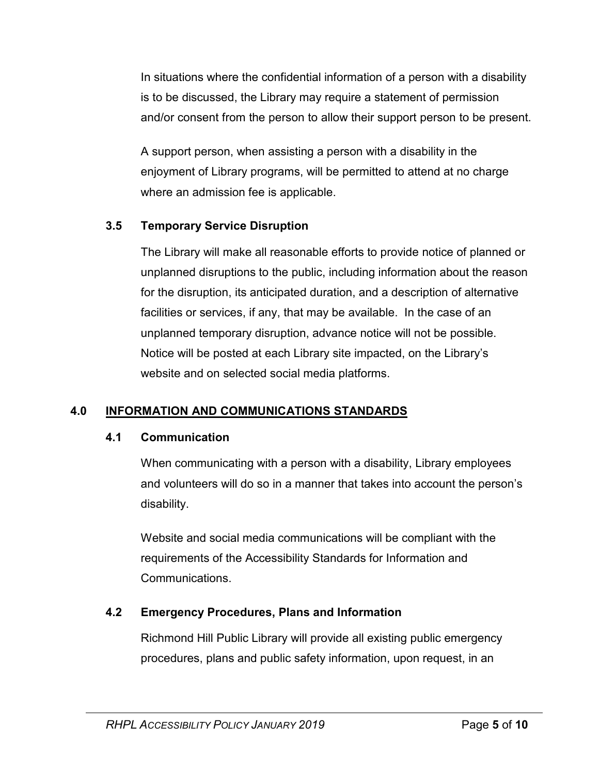In situations where the confidential information of a person with a disability is to be discussed, the Library may require a statement of permission and/or consent from the person to allow their support person to be present.

A support person, when assisting a person with a disability in the enjoyment of Library programs, will be permitted to attend at no charge where an admission fee is applicable.

# **3.5 Temporary Service Disruption**

The Library will make all reasonable efforts to provide notice of planned or unplanned disruptions to the public, including information about the reason for the disruption, its anticipated duration, and a description of alternative facilities or services, if any, that may be available. In the case of an unplanned temporary disruption, advance notice will not be possible. Notice will be posted at each Library site impacted, on the Library's website and on selected social media platforms.

# **4.0 INFORMATION AND COMMUNICATIONS STANDARDS**

# **4.1 Communication**

When communicating with a person with a disability, Library employees and volunteers will do so in a manner that takes into account the person's disability.

Website and social media communications will be compliant with the requirements of the Accessibility Standards for Information and Communications.

# **4.2 Emergency Procedures, Plans and Information**

Richmond Hill Public Library will provide all existing public emergency procedures, plans and public safety information, upon request, in an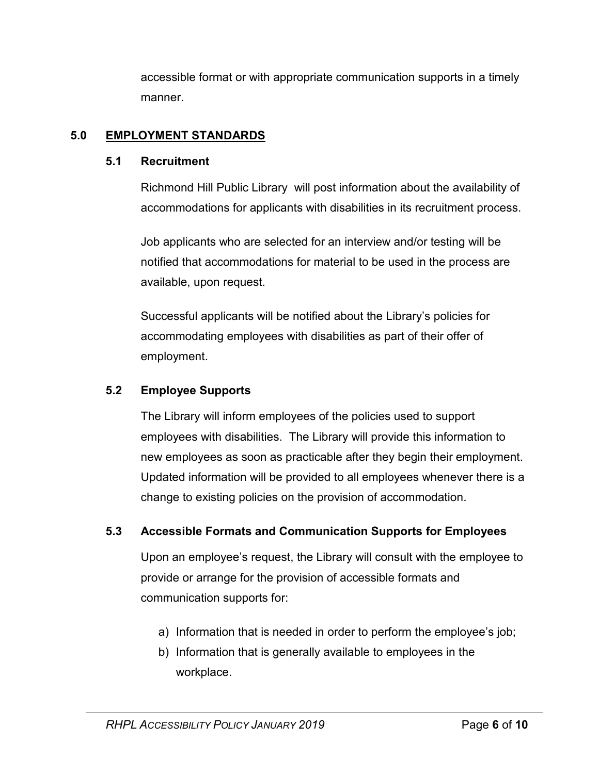accessible format or with appropriate communication supports in a timely manner.

# **5.0 EMPLOYMENT STANDARDS**

# **5.1 Recruitment**

Richmond Hill Public Library will post information about the availability of accommodations for applicants with disabilities in its recruitment process.

Job applicants who are selected for an interview and/or testing will be notified that accommodations for material to be used in the process are available, upon request.

Successful applicants will be notified about the Library's policies for accommodating employees with disabilities as part of their offer of employment.

# **5.2 Employee Supports**

The Library will inform employees of the policies used to support employees with disabilities. The Library will provide this information to new employees as soon as practicable after they begin their employment. Updated information will be provided to all employees whenever there is a change to existing policies on the provision of accommodation.

# **5.3 Accessible Formats and Communication Supports for Employees**

Upon an employee's request, the Library will consult with the employee to provide or arrange for the provision of accessible formats and communication supports for:

- a) Information that is needed in order to perform the employee's job;
- b) Information that is generally available to employees in the workplace.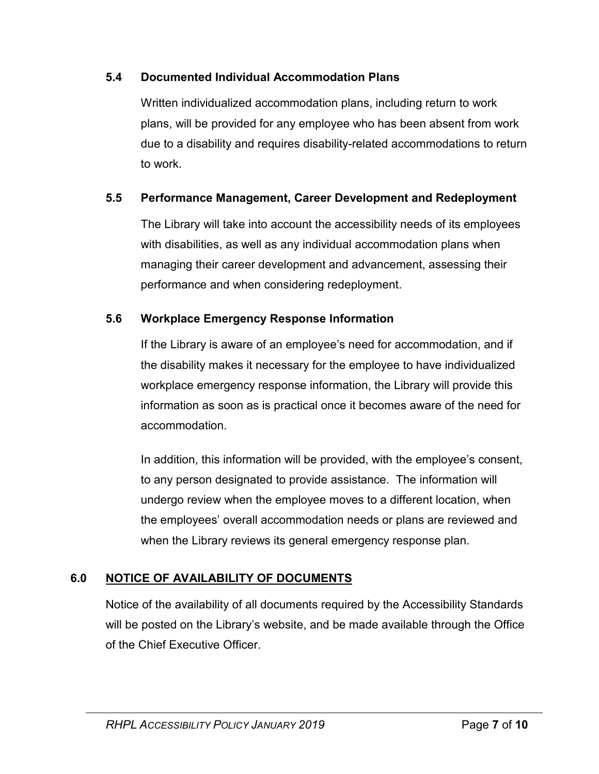# **5.4 Documented Individual Accommodation Plans**

Written individualized accommodation plans, including return to work plans, will be provided for any employee who has been absent from work due to a disability and requires disability-related accommodations to return to work.

# **5.5 Performance Management, Career Development and Redeployment**

The Library will take into account the accessibility needs of its employees with disabilities, as well as any individual accommodation plans when managing their career development and advancement, assessing their performance and when considering redeployment.

# **5.6 Workplace Emergency Response Information**

If the Library is aware of an employee's need for accommodation, and if the disability makes it necessary for the employee to have individualized workplace emergency response information, the Library will provide this information as soon as is practical once it becomes aware of the need for accommodation.

In addition, this information will be provided, with the employee's consent, to any person designated to provide assistance. The information will undergo review when the employee moves to a different location, when the employees' overall accommodation needs or plans are reviewed and when the Library reviews its general emergency response plan.

# **6.0 NOTICE OF AVAILABILITY OF DOCUMENTS**

Notice of the availability of all documents required by the Accessibility Standards will be posted on the Library's website, and be made available through the Office of the Chief Executive Officer.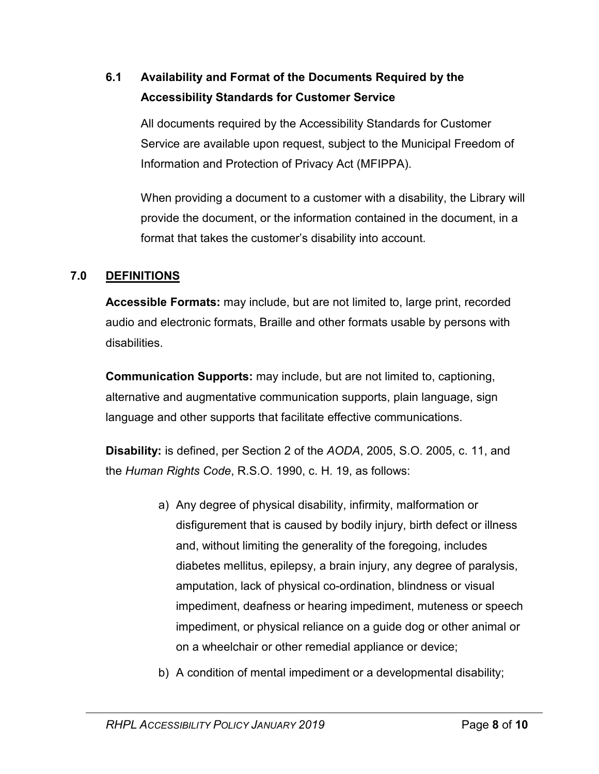# **6.1 Availability and Format of the Documents Required by the Accessibility Standards for Customer Service**

All documents required by the Accessibility Standards for Customer Service are available upon request, subject to the Municipal Freedom of Information and Protection of Privacy Act (MFIPPA).

When providing a document to a customer with a disability, the Library will provide the document, or the information contained in the document, in a format that takes the customer's disability into account.

# **7.0 DEFINITIONS**

**Accessible Formats:** may include, but are not limited to, large print, recorded audio and electronic formats, Braille and other formats usable by persons with disabilities.

**Communication Supports:** may include, but are not limited to, captioning, alternative and augmentative communication supports, plain language, sign language and other supports that facilitate effective communications.

**Disability:** is defined, per Section 2 of the *AODA*, 2005, S.O. 2005, c. 11, and the *Human Rights Code*, R.S.O. 1990, c. H. 19, as follows:

- a) Any degree of physical disability, infirmity, malformation or disfigurement that is caused by bodily injury, birth defect or illness and, without limiting the generality of the foregoing, includes diabetes mellitus, epilepsy, a brain injury, any degree of paralysis, amputation, lack of physical co-ordination, blindness or visual impediment, deafness or hearing impediment, muteness or speech impediment, or physical reliance on a guide dog or other animal or on a wheelchair or other remedial appliance or device;
- b) A condition of mental impediment or a developmental disability;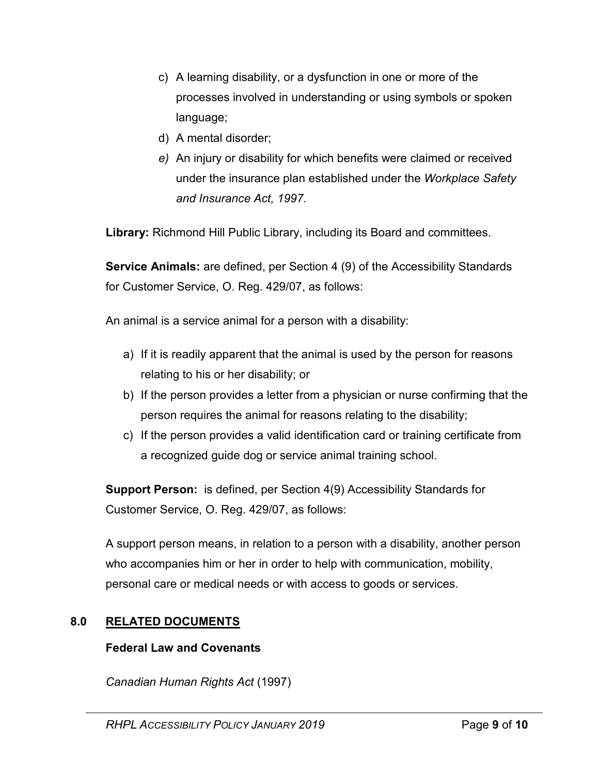- c) A learning disability, or a dysfunction in one or more of the processes involved in understanding or using symbols or spoken language;
- d) A mental disorder;
- *e)* An injury or disability for which benefits were claimed or received under the insurance plan established under the *Workplace Safety and Insurance Act, 1997.*

**Library:** Richmond Hill Public Library, including its Board and committees.

**Service Animals:** are defined, per Section 4 (9) of the Accessibility Standards for Customer Service, O. Reg. 429/07, as follows:

An animal is a service animal for a person with a disability:

- a) If it is readily apparent that the animal is used by the person for reasons relating to his or her disability; or
- b) If the person provides a letter from a physician or nurse confirming that the person requires the animal for reasons relating to the disability;
- c) If the person provides a valid identification card or training certificate from a recognized guide dog or service animal training school.

**Support Person:** is defined, per Section 4(9) Accessibility Standards for Customer Service, O. Reg. 429/07, as follows:

A support person means, in relation to a person with a disability, another person who accompanies him or her in order to help with communication, mobility, personal care or medical needs or with access to goods or services.

# **8.0 RELATED DOCUMENTS**

# **Federal Law and Covenants**

*Canadian Human Rights Act* (1997)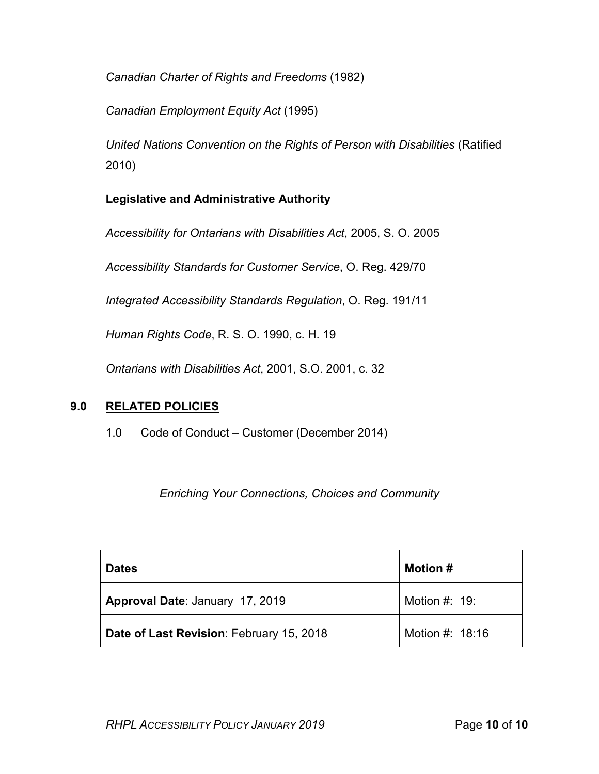*Canadian Charter of Rights and Freedoms* (1982)

*Canadian Employment Equity Act* (1995)

*United Nations Convention on the Rights of Person with Disabilities* (Ratified 2010)

# **Legislative and Administrative Authority**

*Accessibility for Ontarians with Disabilities Act*, 2005, S. O. 2005

*Accessibility Standards for Customer Service*, O. Reg. 429/70

*Integrated Accessibility Standards Regulation*, O. Reg. 191/11

*Human Rights Code*, R. S. O. 1990, c. H. 19

*Ontarians with Disabilities Act*, 2001, S.O. 2001, c. 32

# **9.0 RELATED POLICIES**

1.0 Code of Conduct – Customer (December 2014)

*Enriching Your Connections, Choices and Community*

| <b>Dates</b>                             | <b>Motion</b> # |
|------------------------------------------|-----------------|
| Approval Date: January 17, 2019          | Motion $#: 19:$ |
| Date of Last Revision: February 15, 2018 | Motion #: 18:16 |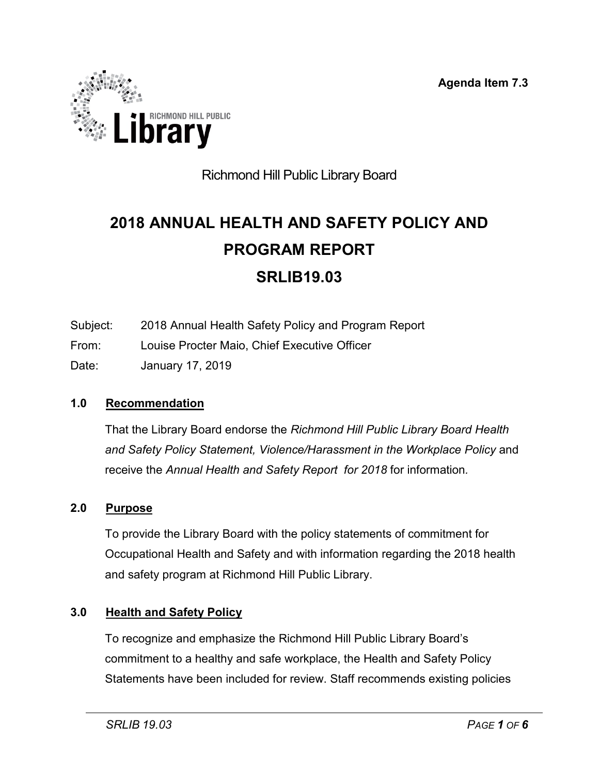**Agenda Item 7.3**

<span id="page-34-0"></span>

# Richmond Hill Public Library Board

# **2018 ANNUAL HEALTH AND SAFETY POLICY AND PROGRAM REPORT SRLIB19.03**

- Subject: 2018 Annual Health Safety Policy and Program Report
- From: Louise Procter Maio, Chief Executive Officer
- Date: January 17, 2019

# **1.0 Recommendation**

That the Library Board endorse the *Richmond Hill Public Library Board Health*  and Safety Policy Statement, Violence/Harassment in the Workplace Policy and receive the *Annual Health and Safety Report for 2018* for information*.*

# **2.0 Purpose**

To provide the Library Board with the policy statements of commitment for Occupational Health and Safety and with information regarding the 2018 health and safety program at Richmond Hill Public Library.

# **3.0 Health and Safety Policy**

To recognize and emphasize the Richmond Hill Public Library Board's commitment to a healthy and safe workplace, the Health and Safety Policy Statements have been included for review. Staff recommends existing policies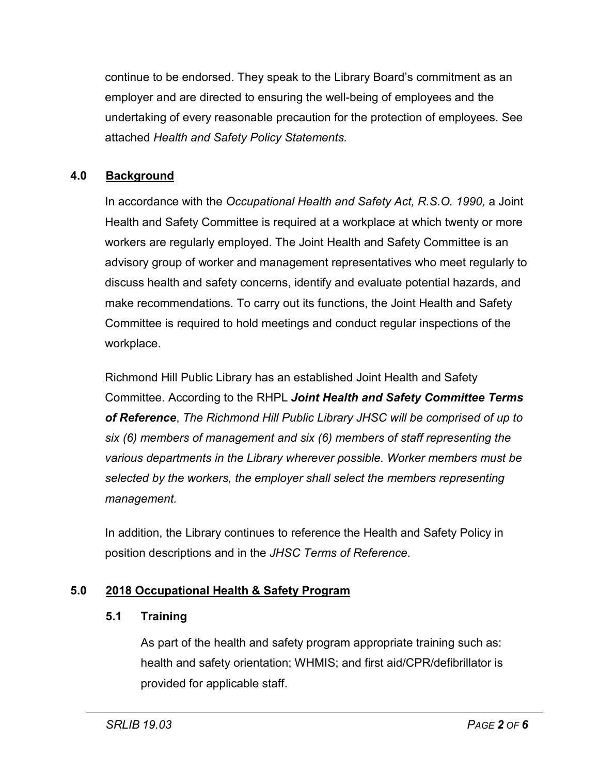continue to be endorsed. They speak to the Library Board's commitment as an employer and are directed to ensuring the well-being of employees and the undertaking of every reasonable precaution for the protection of employees. See attached *Health and Safety Policy Statements.*

# **4.0 Background**

In accordance with the *Occupational Health and Safety Act, R.S.O. 1990,* a Joint Health and Safety Committee is required at a workplace at which twenty or more workers are regularly employed. The Joint Health and Safety Committee is an advisory group of worker and management representatives who meet regularly to discuss health and safety concerns, identify and evaluate potential hazards, and make recommendations. To carry out its functions, the Joint Health and Safety Committee is required to hold meetings and conduct regular inspections of the workplace.

Richmond Hill Public Library has an established Joint Health and Safety Committee. According to the RHPL *Joint Health and Safety Committee Terms of Reference*, *The Richmond Hill Public Library JHSC will be comprised of up to six (6) members of management and six (6) members of staff representing the various departments in the Library wherever possible. Worker members must be selected by the workers, the employer shall select the members representing management.*

In addition, the Library continues to reference the Health and Safety Policy in position descriptions and in the *JHSC Terms of Reference*.

# **5.0 2018 Occupational Health & Safety Program**

# **5.1 Training**

As part of the health and safety program appropriate training such as: health and safety orientation; WHMIS; and first aid/CPR/defibrillator is provided for applicable staff.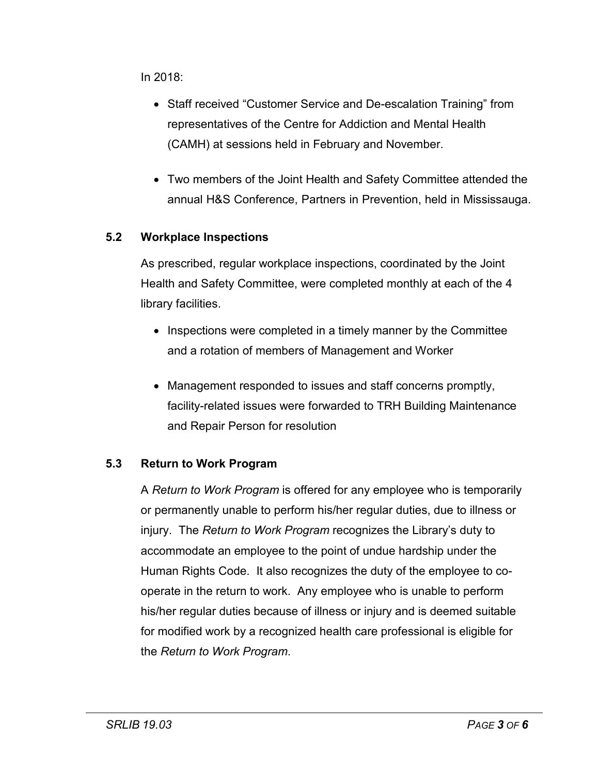In 2018:

- Staff received "Customer Service and De-escalation Training" from representatives of the Centre for Addiction and Mental Health (CAMH) at sessions held in February and November.
- Two members of the Joint Health and Safety Committee attended the annual H&S Conference, Partners in Prevention, held in Mississauga.

# **5.2 Workplace Inspections**

As prescribed, regular workplace inspections, coordinated by the Joint Health and Safety Committee, were completed monthly at each of the 4 library facilities.

- Inspections were completed in a timely manner by the Committee and a rotation of members of Management and Worker
- Management responded to issues and staff concerns promptly, facility-related issues were forwarded to TRH Building Maintenance and Repair Person for resolution

# **5.3 Return to Work Program**

A *Return to Work Program* is offered for any employee who is temporarily or permanently unable to perform his/her regular duties, due to illness or injury. The *Return to Work Program* recognizes the Library's duty to accommodate an employee to the point of undue hardship under the Human Rights Code. It also recognizes the duty of the employee to cooperate in the return to work. Any employee who is unable to perform his/her regular duties because of illness or injury and is deemed suitable for modified work by a recognized health care professional is eligible for the *Return to Work Program*.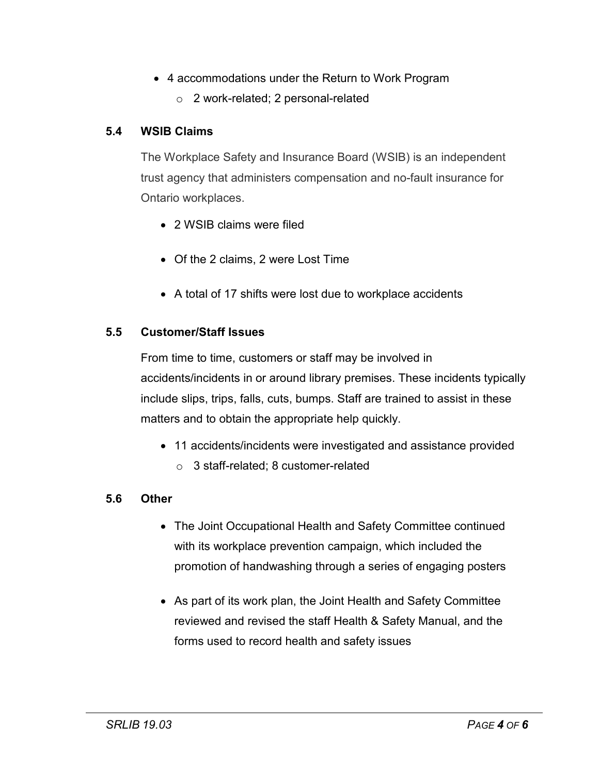- 4 accommodations under the Return to Work Program
	- o 2 work-related; 2 personal-related

# **5.4 WSIB Claims**

The Workplace Safety and Insurance Board (WSIB) is an independent trust agency that administers compensation and no-fault insurance for Ontario workplaces.

- 2 WSIB claims were filed
- Of the 2 claims, 2 were Lost Time
- A total of 17 shifts were lost due to workplace accidents

# **5.5 Customer/Staff Issues**

From time to time, customers or staff may be involved in accidents/incidents in or around library premises. These incidents typically include slips, trips, falls, cuts, bumps. Staff are trained to assist in these matters and to obtain the appropriate help quickly.

- 11 accidents/incidents were investigated and assistance provided
	- o 3 staff-related; 8 customer-related

# **5.6 Other**

- The Joint Occupational Health and Safety Committee continued with its workplace prevention campaign, which included the promotion of handwashing through a series of engaging posters
- As part of its work plan, the Joint Health and Safety Committee reviewed and revised the staff Health & Safety Manual, and the forms used to record health and safety issues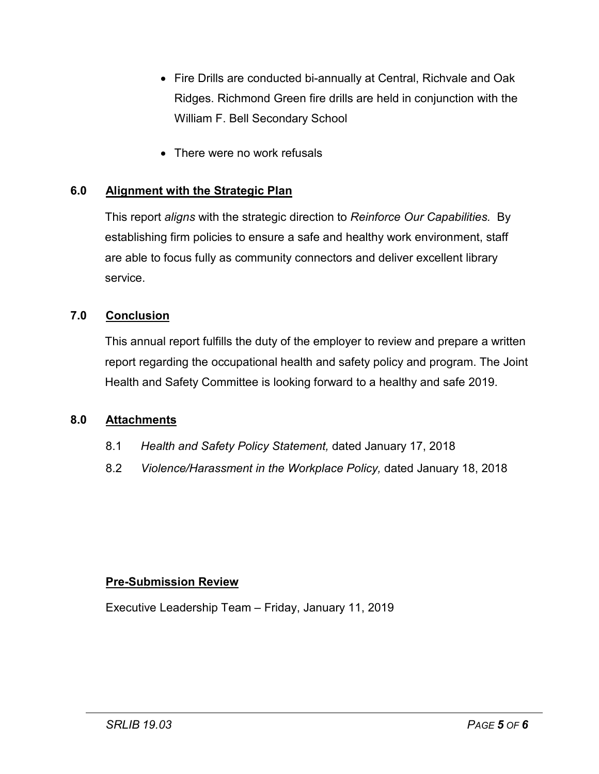- Fire Drills are conducted bi-annually at Central, Richvale and Oak Ridges. Richmond Green fire drills are held in conjunction with the William F. Bell Secondary School
- There were no work refusals

# **6.0 Alignment with the Strategic Plan**

This report *aligns* with the strategic direction to *Reinforce Our Capabilities.* By establishing firm policies to ensure a safe and healthy work environment, staff are able to focus fully as community connectors and deliver excellent library service.

# **7.0 Conclusion**

This annual report fulfills the duty of the employer to review and prepare a written report regarding the occupational health and safety policy and program. The Joint Health and Safety Committee is looking forward to a healthy and safe 2019.

#### **8.0 Attachments**

- 8.1 *Health and Safety Policy Statement,* dated January 17, 2018
- 8.2 *Violence/Harassment in the Workplace Policy,* dated January 18, 2018

#### **Pre-Submission Review**

Executive Leadership Team – Friday, January 11, 2019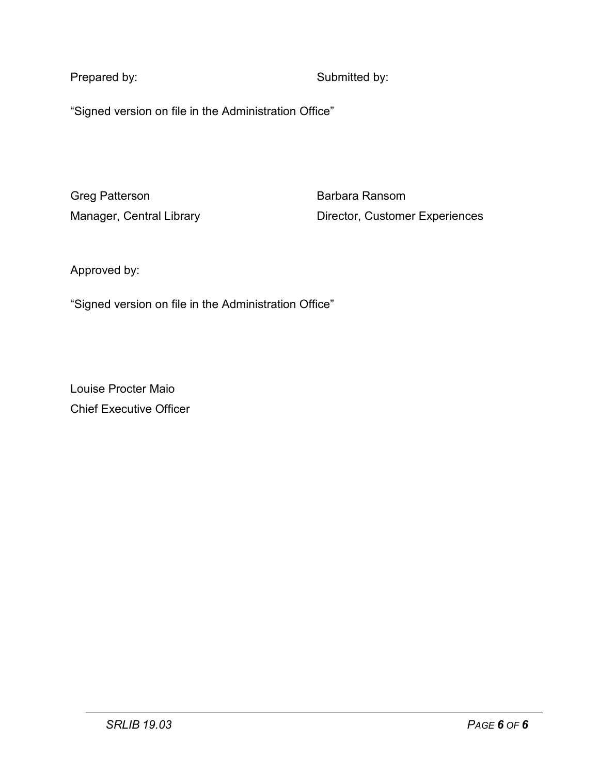Prepared by: Submitted by:

"Signed version on file in the Administration Office"

Greg Patterson **Barbara Ransom** 

Manager, Central Library **Director, Customer Experiences** 

Approved by:

"Signed version on file in the Administration Office"

Louise Procter Maio Chief Executive Officer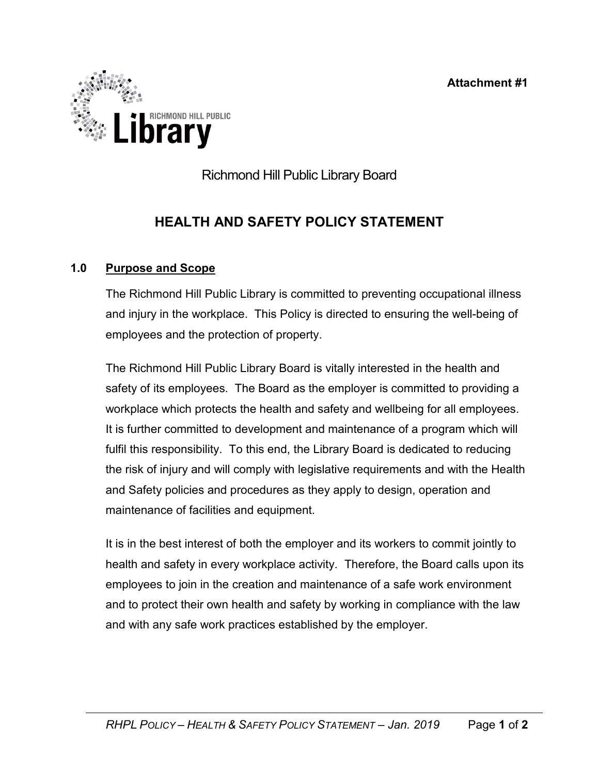**Attachment #1**



Richmond Hill Public Library Board

# **HEALTH AND SAFETY POLICY STATEMENT**

# **1.0 Purpose and Scope**

The Richmond Hill Public Library is committed to preventing occupational illness and injury in the workplace. This Policy is directed to ensuring the well-being of employees and the protection of property.

The Richmond Hill Public Library Board is vitally interested in the health and safety of its employees. The Board as the employer is committed to providing a workplace which protects the health and safety and wellbeing for all employees. It is further committed to development and maintenance of a program which will fulfil this responsibility. To this end, the Library Board is dedicated to reducing the risk of injury and will comply with legislative requirements and with the Health and Safety policies and procedures as they apply to design, operation and maintenance of facilities and equipment.

It is in the best interest of both the employer and its workers to commit jointly to health and safety in every workplace activity. Therefore, the Board calls upon its employees to join in the creation and maintenance of a safe work environment and to protect their own health and safety by working in compliance with the law and with any safe work practices established by the employer.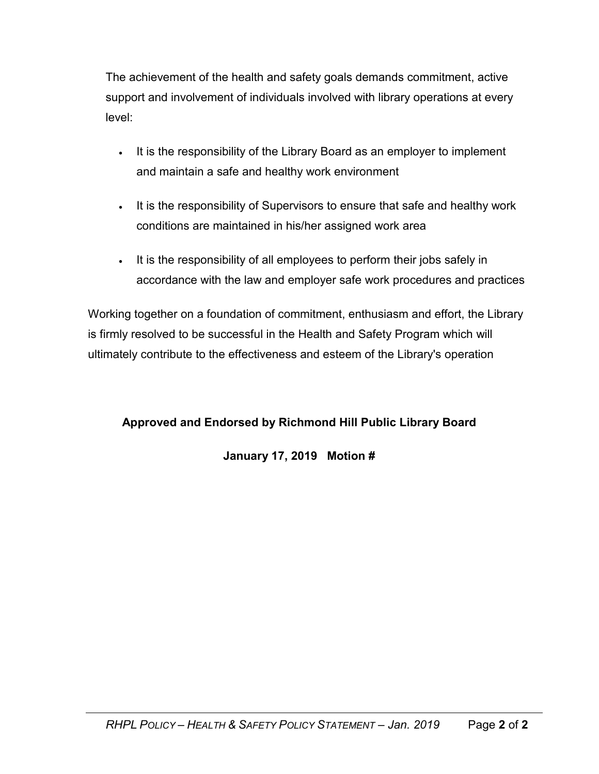The achievement of the health and safety goals demands commitment, active support and involvement of individuals involved with library operations at every level:

- It is the responsibility of the Library Board as an employer to implement and maintain a safe and healthy work environment
- It is the responsibility of Supervisors to ensure that safe and healthy work conditions are maintained in his/her assigned work area
- It is the responsibility of all employees to perform their jobs safely in accordance with the law and employer safe work procedures and practices

Working together on a foundation of commitment, enthusiasm and effort, the Library is firmly resolved to be successful in the Health and Safety Program which will ultimately contribute to the effectiveness and esteem of the Library's operation

# **Approved and Endorsed by Richmond Hill Public Library Board**

# **January 17, 2019 Motion #**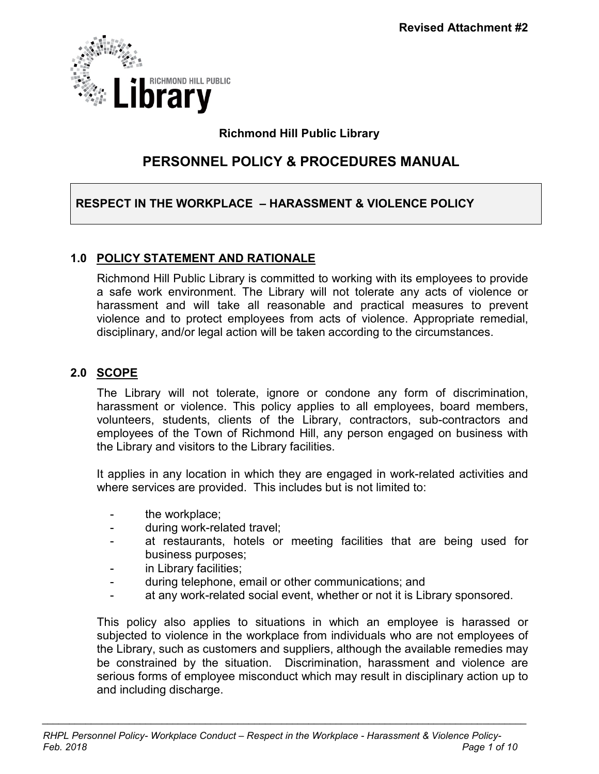

# **Richmond Hill Public Library**

# **PERSONNEL POLICY & PROCEDURES MANUAL**

# **RESPECT IN THE WORKPLACE – HARASSMENT & VIOLENCE POLICY**

# **1.0 POLICY STATEMENT AND RATIONALE**

Richmond Hill Public Library is committed to working with its employees to provide a safe work environment. The Library will not tolerate any acts of violence or harassment and will take all reasonable and practical measures to prevent violence and to protect employees from acts of violence. Appropriate remedial, disciplinary, and/or legal action will be taken according to the circumstances.

# **2.0 SCOPE**

The Library will not tolerate, ignore or condone any form of discrimination, harassment or violence. This policy applies to all employees, board members, volunteers, students, clients of the Library, contractors, sub-contractors and employees of the Town of Richmond Hill, any person engaged on business with the Library and visitors to the Library facilities.

It applies in any location in which they are engaged in work-related activities and where services are provided. This includes but is not limited to:

- the workplace;
- during work-related travel;
- at restaurants, hotels or meeting facilities that are being used for business purposes;
- in Library facilities;
- during telephone, email or other communications; and
- at any work-related social event, whether or not it is Library sponsored.

This policy also applies to situations in which an employee is harassed or subjected to violence in the workplace from individuals who are not employees of the Library, such as customers and suppliers, although the available remedies may be constrained by the situation. Discrimination, harassment and violence are serious forms of employee misconduct which may result in disciplinary action up to and including discharge.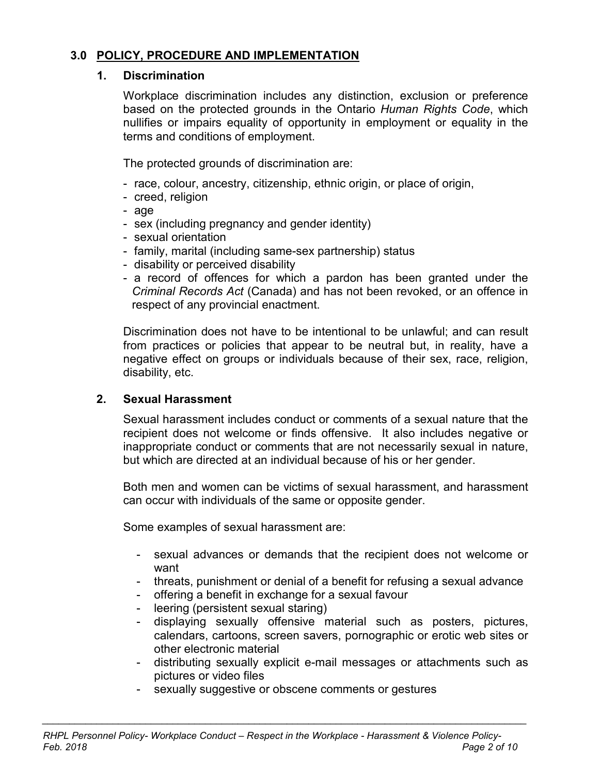# **3.0 POLICY, PROCEDURE AND IMPLEMENTATION**

#### **1. Discrimination**

Workplace discrimination includes any distinction, exclusion or preference based on the protected grounds in the Ontario *Human Rights Code*, which nullifies or impairs equality of opportunity in employment or equality in the terms and conditions of employment.

The protected grounds of discrimination are:

- race, colour, ancestry, citizenship, ethnic origin, or place of origin,
- creed, religion
- age
- sex (including pregnancy and gender identity)
- sexual orientation
- family, marital (including same-sex partnership) status
- disability or perceived disability
- a record of offences for which a pardon has been granted under the *Criminal Records Act* (Canada) and has not been revoked, or an offence in respect of any provincial enactment.

Discrimination does not have to be intentional to be unlawful; and can result from practices or policies that appear to be neutral but, in reality, have a negative effect on groups or individuals because of their sex, race, religion, disability, etc.

# **2. Sexual Harassment**

Sexual harassment includes conduct or comments of a sexual nature that the recipient does not welcome or finds offensive. It also includes negative or inappropriate conduct or comments that are not necessarily sexual in nature, but which are directed at an individual because of his or her gender.

Both men and women can be victims of sexual harassment, and harassment can occur with individuals of the same or opposite gender.

Some examples of sexual harassment are:

- sexual advances or demands that the recipient does not welcome or want
- threats, punishment or denial of a benefit for refusing a sexual advance
- offering a benefit in exchange for a sexual favour
- leering (persistent sexual staring)
- displaying sexually offensive material such as posters, pictures, calendars, cartoons, screen savers, pornographic or erotic web sites or other electronic material
- distributing sexually explicit e-mail messages or attachments such as pictures or video files
- sexually suggestive or obscene comments or gestures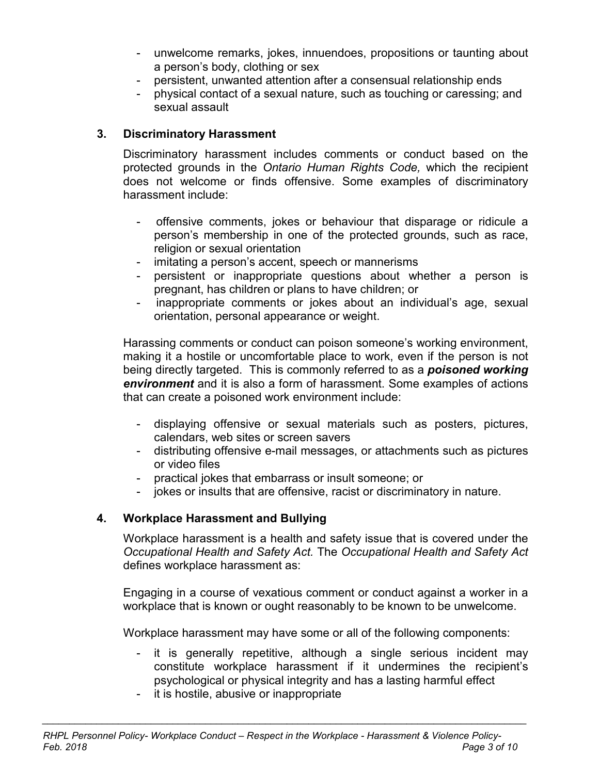- unwelcome remarks, jokes, innuendoes, propositions or taunting about a person's body, clothing or sex
- persistent, unwanted attention after a consensual relationship ends
- physical contact of a sexual nature, such as touching or caressing; and sexual assault

# **3. Discriminatory Harassment**

Discriminatory harassment includes comments or conduct based on the protected grounds in the *Ontario Human Rights Code,* which the recipient does not welcome or finds offensive. Some examples of discriminatory harassment include:

- offensive comments, jokes or behaviour that disparage or ridicule a person's membership in one of the protected grounds, such as race, religion or sexual orientation
- imitating a person's accent, speech or mannerisms
- persistent or inappropriate questions about whether a person is pregnant, has children or plans to have children; or
- inappropriate comments or jokes about an individual's age, sexual orientation, personal appearance or weight.

Harassing comments or conduct can poison someone's working environment, making it a hostile or uncomfortable place to work, even if the person is not being directly targeted. This is commonly referred to as a *poisoned working environment* and it is also a form of harassment. Some examples of actions that can create a poisoned work environment include:

- displaying offensive or sexual materials such as posters, pictures, calendars, web sites or screen savers
- distributing offensive e-mail messages, or attachments such as pictures or video files
- practical jokes that embarrass or insult someone; or
- jokes or insults that are offensive, racist or discriminatory in nature.

# **4. Workplace Harassment and Bullying**

Workplace harassment is a health and safety issue that is covered under the *Occupational Health and Safety Act.* The *Occupational Health and Safety Act* defines workplace harassment as:

Engaging in a course of vexatious comment or conduct against a worker in a workplace that is known or ought reasonably to be known to be unwelcome.

Workplace harassment may have some or all of the following components:

- it is generally repetitive, although a single serious incident may constitute workplace harassment if it undermines the recipient's psychological or physical integrity and has a lasting harmful effect
- it is hostile, abusive or inappropriate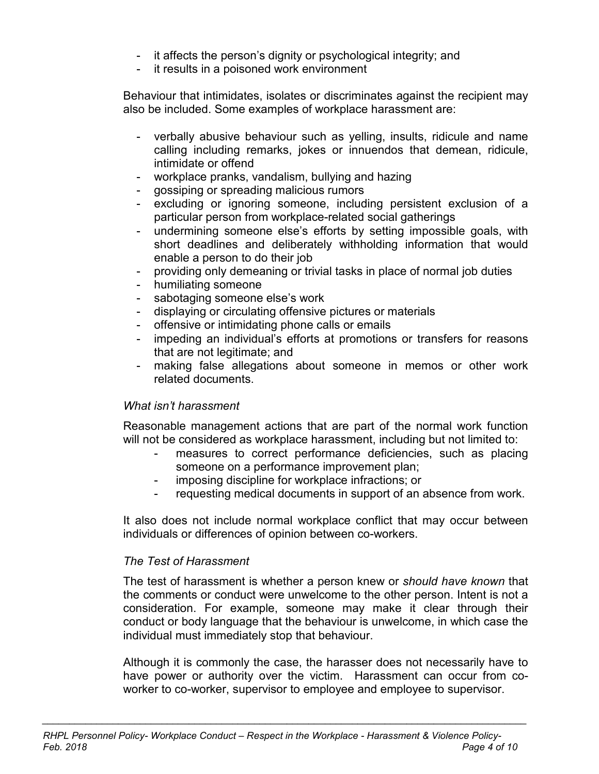- it affects the person's dignity or psychological integrity; and
- it results in a poisoned work environment

Behaviour that intimidates, isolates or discriminates against the recipient may also be included. Some examples of workplace harassment are:

- verbally abusive behaviour such as yelling, insults, ridicule and name calling including remarks, jokes or innuendos that demean, ridicule, intimidate or offend
- workplace pranks, vandalism, bullying and hazing
- gossiping or spreading malicious rumors
- excluding or ignoring someone, including persistent exclusion of a particular person from workplace-related social gatherings
- undermining someone else's efforts by setting impossible goals, with short deadlines and deliberately withholding information that would enable a person to do their job
- providing only demeaning or trivial tasks in place of normal job duties
- humiliating someone
- sabotaging someone else's work
- displaying or circulating offensive pictures or materials
- offensive or intimidating phone calls or emails
- impeding an individual's efforts at promotions or transfers for reasons that are not legitimate; and
- making false allegations about someone in memos or other work related documents.

#### *What isn't harassment*

Reasonable management actions that are part of the normal work function will not be considered as workplace harassment, including but not limited to:

- measures to correct performance deficiencies, such as placing someone on a performance improvement plan;
- imposing discipline for workplace infractions; or
- requesting medical documents in support of an absence from work.

It also does not include normal workplace conflict that may occur between individuals or differences of opinion between co-workers.

#### *The Test of Harassment*

The test of harassment is whether a person knew or *should have known* that the comments or conduct were unwelcome to the other person. Intent is not a consideration. For example, someone may make it clear through their conduct or body language that the behaviour is unwelcome, in which case the individual must immediately stop that behaviour.

Although it is commonly the case, the harasser does not necessarily have to have power or authority over the victim. Harassment can occur from coworker to co-worker, supervisor to employee and employee to supervisor.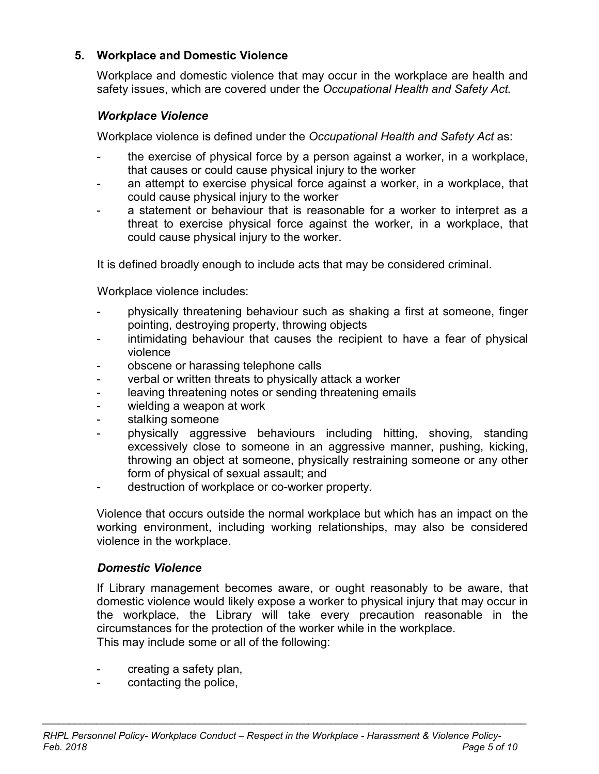# **5. Workplace and Domestic Violence**

Workplace and domestic violence that may occur in the workplace are health and safety issues, which are covered under the *Occupational Health and Safety Act.*

# *Workplace Violence*

Workplace violence is defined under the *Occupational Health and Safety Act* as:

- the exercise of physical force by a person against a worker, in a workplace, that causes or could cause physical injury to the worker
- an attempt to exercise physical force against a worker, in a workplace, that could cause physical injury to the worker
- a statement or behaviour that is reasonable for a worker to interpret as a threat to exercise physical force against the worker, in a workplace, that could cause physical injury to the worker.

It is defined broadly enough to include acts that may be considered criminal.

Workplace violence includes:

- physically threatening behaviour such as shaking a first at someone, finger pointing, destroying property, throwing objects
- intimidating behaviour that causes the recipient to have a fear of physical violence
- obscene or harassing telephone calls
- verbal or written threats to physically attack a worker
- leaving threatening notes or sending threatening emails
- wielding a weapon at work
- stalking someone
- physically aggressive behaviours including hitting, shoving, standing excessively close to someone in an aggressive manner, pushing, kicking, throwing an object at someone, physically restraining someone or any other form of physical of sexual assault; and
- destruction of workplace or co-worker property.

Violence that occurs outside the normal workplace but which has an impact on the working environment, including working relationships, may also be considered violence in the workplace.

# *Domestic Violence*

If Library management becomes aware, or ought reasonably to be aware, that domestic violence would likely expose a worker to physical injury that may occur in the workplace, the Library will take every precaution reasonable in the circumstances for the protection of the worker while in the workplace. This may include some or all of the following:

- creating a safety plan,
- contacting the police,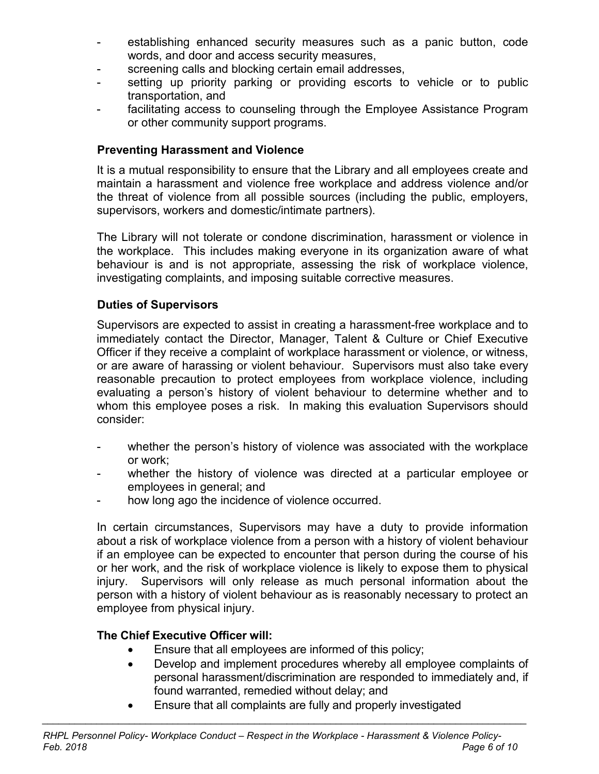- establishing enhanced security measures such as a panic button, code words, and door and access security measures,
- screening calls and blocking certain email addresses,
- setting up priority parking or providing escorts to vehicle or to public transportation, and
- facilitating access to counseling through the Employee Assistance Program or other community support programs.

# **Preventing Harassment and Violence**

It is a mutual responsibility to ensure that the Library and all employees create and maintain a harassment and violence free workplace and address violence and/or the threat of violence from all possible sources (including the public, employers, supervisors, workers and domestic/intimate partners).

The Library will not tolerate or condone discrimination, harassment or violence in the workplace. This includes making everyone in its organization aware of what behaviour is and is not appropriate, assessing the risk of workplace violence, investigating complaints, and imposing suitable corrective measures.

# **Duties of Supervisors**

Supervisors are expected to assist in creating a harassment-free workplace and to immediately contact the Director, Manager, Talent & Culture or Chief Executive Officer if they receive a complaint of workplace harassment or violence, or witness, or are aware of harassing or violent behaviour. Supervisors must also take every reasonable precaution to protect employees from workplace violence, including evaluating a person's history of violent behaviour to determine whether and to whom this employee poses a risk. In making this evaluation Supervisors should consider:

- whether the person's history of violence was associated with the workplace or work;
- whether the history of violence was directed at a particular employee or employees in general; and
- how long ago the incidence of violence occurred.

In certain circumstances, Supervisors may have a duty to provide information about a risk of workplace violence from a person with a history of violent behaviour if an employee can be expected to encounter that person during the course of his or her work, and the risk of workplace violence is likely to expose them to physical injury. Supervisors will only release as much personal information about the person with a history of violent behaviour as is reasonably necessary to protect an employee from physical injury.

# **The Chief Executive Officer will:**

- Ensure that all employees are informed of this policy;
- Develop and implement procedures whereby all employee complaints of personal harassment/discrimination are responded to immediately and, if found warranted, remedied without delay; and
- Ensure that all complaints are fully and properly investigated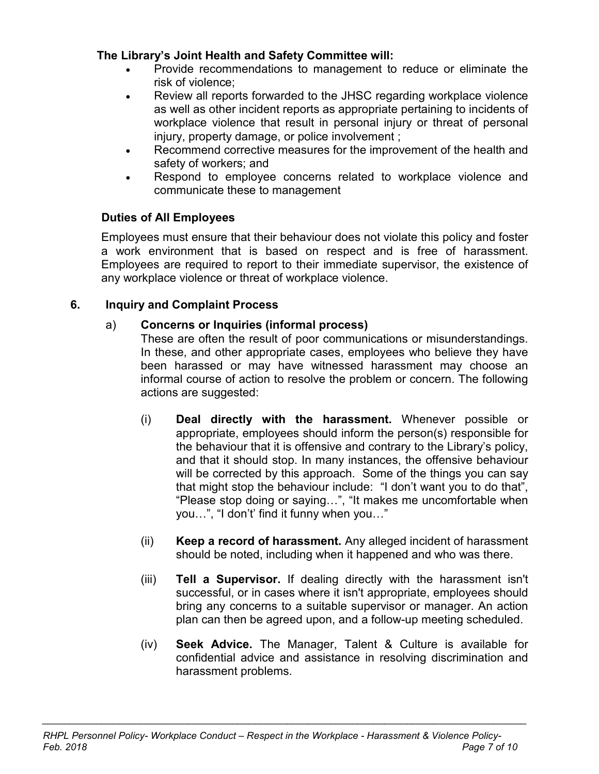# **The Library's Joint Health and Safety Committee will:**

- Provide recommendations to management to reduce or eliminate the risk of violence;
- Review all reports forwarded to the JHSC regarding workplace violence as well as other incident reports as appropriate pertaining to incidents of workplace violence that result in personal injury or threat of personal injury, property damage, or police involvement ;
- Recommend corrective measures for the improvement of the health and safety of workers; and
- Respond to employee concerns related to workplace violence and communicate these to management

# **Duties of All Employees**

Employees must ensure that their behaviour does not violate this policy and foster a work environment that is based on respect and is free of harassment. Employees are required to report to their immediate supervisor, the existence of any workplace violence or threat of workplace violence.

# **6. Inquiry and Complaint Process**

# a) **Concerns or Inquiries (informal process)**

These are often the result of poor communications or misunderstandings. In these, and other appropriate cases, employees who believe they have been harassed or may have witnessed harassment may choose an informal course of action to resolve the problem or concern. The following actions are suggested:

- (i) **Deal directly with the harassment.** Whenever possible or appropriate, employees should inform the person(s) responsible for the behaviour that it is offensive and contrary to the Library's policy, and that it should stop. In many instances, the offensive behaviour will be corrected by this approach. Some of the things you can say that might stop the behaviour include: "I don't want you to do that", "Please stop doing or saying…", "It makes me uncomfortable when you…", "I don't' find it funny when you…"
- (ii) **Keep a record of harassment.** Any alleged incident of harassment should be noted, including when it happened and who was there.
- (iii) **Tell a Supervisor.** If dealing directly with the harassment isn't successful, or in cases where it isn't appropriate, employees should bring any concerns to a suitable supervisor or manager. An action plan can then be agreed upon, and a follow-up meeting scheduled.
- (iv) **Seek Advice.** The Manager, Talent & Culture is available for confidential advice and assistance in resolving discrimination and harassment problems.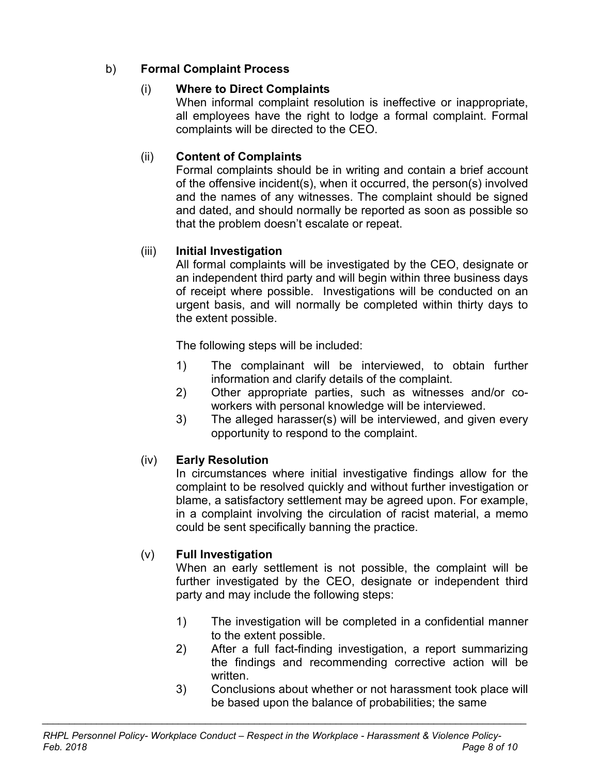# b) **Formal Complaint Process**

# (i) **Where to Direct Complaints**

When informal complaint resolution is ineffective or inappropriate, all employees have the right to lodge a formal complaint. Formal complaints will be directed to the CEO.

# (ii) **Content of Complaints**

Formal complaints should be in writing and contain a brief account of the offensive incident(s), when it occurred, the person(s) involved and the names of any witnesses. The complaint should be signed and dated, and should normally be reported as soon as possible so that the problem doesn't escalate or repeat.

# (iii) **Initial Investigation**

All formal complaints will be investigated by the CEO, designate or an independent third party and will begin within three business days of receipt where possible. Investigations will be conducted on an urgent basis, and will normally be completed within thirty days to the extent possible.

The following steps will be included:

- 1) The complainant will be interviewed, to obtain further information and clarify details of the complaint.
- 2) Other appropriate parties, such as witnesses and/or coworkers with personal knowledge will be interviewed.
- 3) The alleged harasser(s) will be interviewed, and given every opportunity to respond to the complaint.

# (iv) **Early Resolution**

In circumstances where initial investigative findings allow for the complaint to be resolved quickly and without further investigation or blame, a satisfactory settlement may be agreed upon. For example, in a complaint involving the circulation of racist material, a memo could be sent specifically banning the practice.

# (v) **Full Investigation**

When an early settlement is not possible, the complaint will be further investigated by the CEO, designate or independent third party and may include the following steps:

- 1) The investigation will be completed in a confidential manner to the extent possible.
- 2) After a full fact-finding investigation, a report summarizing the findings and recommending corrective action will be written.
- 3) Conclusions about whether or not harassment took place will be based upon the balance of probabilities; the same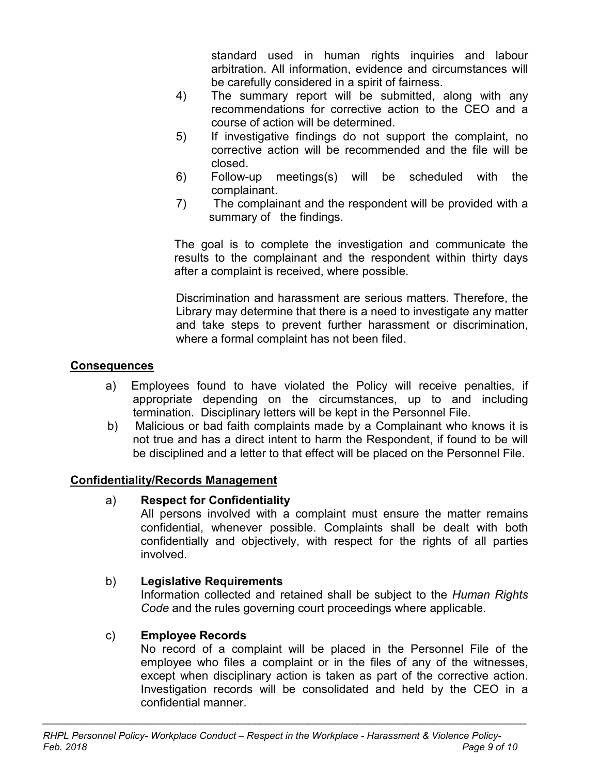standard used in human rights inquiries and labour arbitration. All information, evidence and circumstances will be carefully considered in a spirit of fairness.

- 4) The summary report will be submitted, along with any recommendations for corrective action to the CEO and a course of action will be determined.
- 5) If investigative findings do not support the complaint, no corrective action will be recommended and the file will be closed.
- 6) Follow-up meetings(s) will be scheduled with the complainant.
- 7) The complainant and the respondent will be provided with a summary of the findings.

The goal is to complete the investigation and communicate the results to the complainant and the respondent within thirty days after a complaint is received, where possible.

Discrimination and harassment are serious matters. Therefore, the Library may determine that there is a need to investigate any matter and take steps to prevent further harassment or discrimination, where a formal complaint has not been filed.

# **Consequences**

- a) Employees found to have violated the Policy will receive penalties, if appropriate depending on the circumstances, up to and including termination. Disciplinary letters will be kept in the Personnel File.
- b) Malicious or bad faith complaints made by a Complainant who knows it is not true and has a direct intent to harm the Respondent, if found to be will be disciplined and a letter to that effect will be placed on the Personnel File.

# **Confidentiality/Records Management**

# a) **Respect for Confidentiality**

All persons involved with a complaint must ensure the matter remains confidential, whenever possible. Complaints shall be dealt with both confidentially and objectively, with respect for the rights of all parties involved.

# b) **Legislative Requirements**

Information collected and retained shall be subject to the *Human Rights Code* and the rules governing court proceedings where applicable.

# c) **Employee Records**

No record of a complaint will be placed in the Personnel File of the employee who files a complaint or in the files of any of the witnesses, except when disciplinary action is taken as part of the corrective action. Investigation records will be consolidated and held by the CEO in a confidential manner.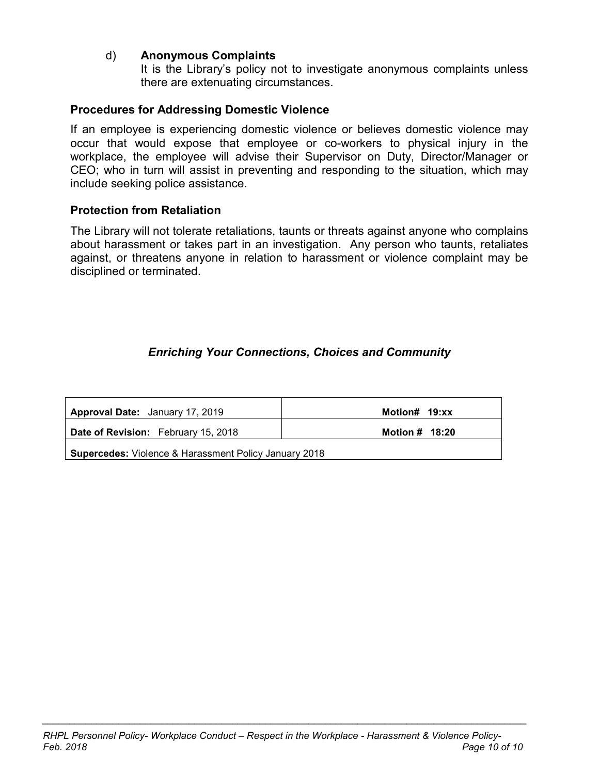#### d) **Anonymous Complaints**

It is the Library's policy not to investigate anonymous complaints unless there are extenuating circumstances.

#### **Procedures for Addressing Domestic Violence**

If an employee is experiencing domestic violence or believes domestic violence may occur that would expose that employee or co-workers to physical injury in the workplace, the employee will advise their Supervisor on Duty, Director/Manager or CEO; who in turn will assist in preventing and responding to the situation, which may include seeking police assistance.

#### **Protection from Retaliation**

The Library will not tolerate retaliations, taunts or threats against anyone who complains about harassment or takes part in an investigation. Any person who taunts, retaliates against, or threatens anyone in relation to harassment or violence complaint may be disciplined or terminated.

#### *Enriching Your Connections, Choices and Community*

| <b>Approval Date:</b> January 17, 2019                       | Motion# 19:xx    |  |
|--------------------------------------------------------------|------------------|--|
| <b>Date of Revision:</b> February 15, 2018                   | Motion $#$ 18:20 |  |
| <b>Supercedes:</b> Violence & Harassment Policy January 2018 |                  |  |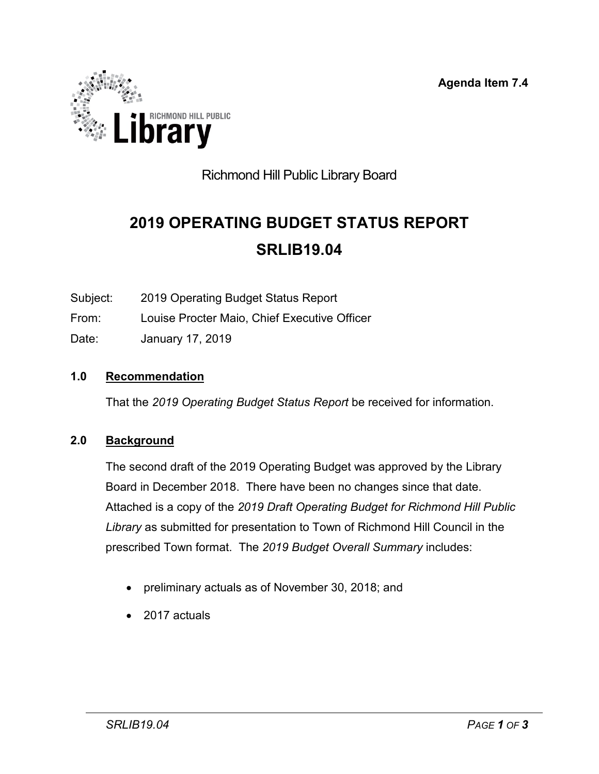**Agenda Item 7.4**

<span id="page-52-0"></span>

# Richmond Hill Public Library Board

# **2019 OPERATING BUDGET STATUS REPORT SRLIB19.04**

Subject: 2019 Operating Budget Status Report

From: Louise Procter Maio, Chief Executive Officer

Date: January 17, 2019

# **1.0 Recommendation**

That the *2019 Operating Budget Status Report* be received for information.

# **2.0 Background**

The second draft of the 2019 Operating Budget was approved by the Library Board in December 2018. There have been no changes since that date. Attached is a copy of the *2019 Draft Operating Budget for Richmond Hill Public Library* as submitted for presentation to Town of Richmond Hill Council in the prescribed Town format. The *2019 Budget Overall Summary* includes:

- preliminary actuals as of November 30, 2018; and
- 2017 actuals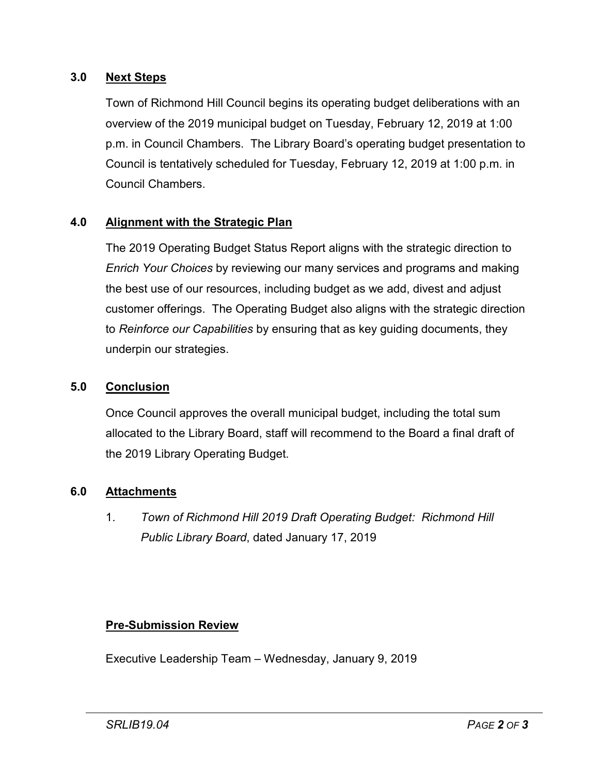# **3.0 Next Steps**

Town of Richmond Hill Council begins its operating budget deliberations with an overview of the 2019 municipal budget on Tuesday, February 12, 2019 at 1:00 p.m. in Council Chambers. The Library Board's operating budget presentation to Council is tentatively scheduled for Tuesday, February 12, 2019 at 1:00 p.m. in Council Chambers.

# **4.0 Alignment with the Strategic Plan**

The 2019 Operating Budget Status Report aligns with the strategic direction to *Enrich Your Choices* by reviewing our many services and programs and making the best use of our resources, including budget as we add, divest and adjust customer offerings. The Operating Budget also aligns with the strategic direction to *Reinforce our Capabilities* by ensuring that as key guiding documents, they underpin our strategies.

#### **5.0 Conclusion**

Once Council approves the overall municipal budget, including the total sum allocated to the Library Board, staff will recommend to the Board a final draft of the 2019 Library Operating Budget.

# **6.0 Attachments**

1. *Town of Richmond Hill 2019 Draft Operating Budget: Richmond Hill Public Library Board*, dated January 17, 2019

# **Pre-Submission Review**

Executive Leadership Team – Wednesday, January 9, 2019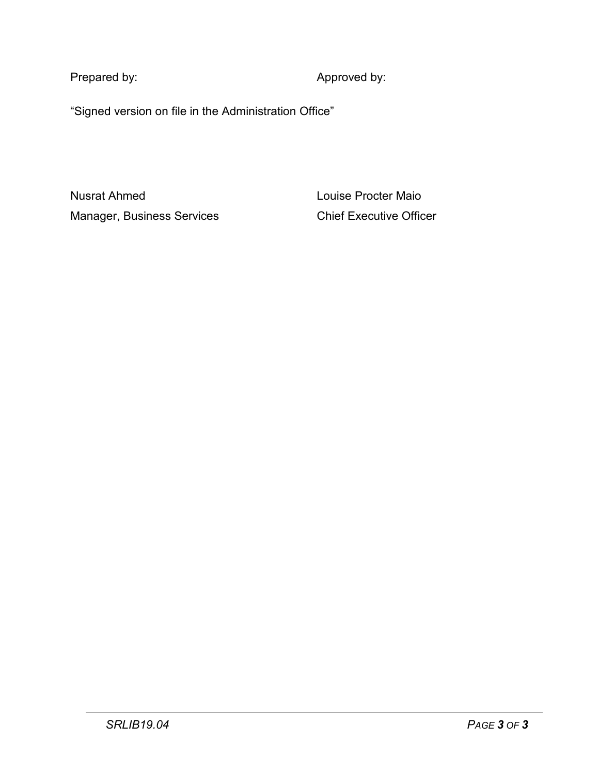Prepared by:  $\blacksquare$  Approved by:

"Signed version on file in the Administration Office"

Nusrat Ahmed Louise Procter Maio Manager, Business Services **Chief Executive Officer**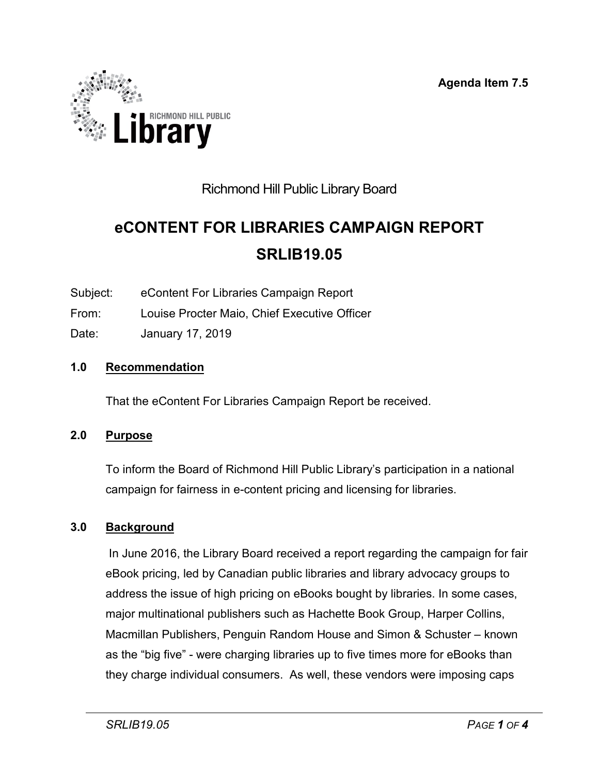**Agenda Item 7.5**

<span id="page-55-0"></span>

# Richmond Hill Public Library Board

# **eCONTENT FOR LIBRARIES CAMPAIGN REPORT SRLIB19.05**

Subject: eContent For Libraries Campaign Report

- From: Louise Procter Maio, Chief Executive Officer
- Date: January 17, 2019

# **1.0 Recommendation**

That the eContent For Libraries Campaign Report be received.

# **2.0 Purpose**

To inform the Board of Richmond Hill Public Library's participation in a national campaign for fairness in e-content pricing and licensing for libraries.

# **3.0 Background**

In June 2016, the Library Board received a report regarding the campaign for fair eBook pricing, led by Canadian public libraries and library advocacy groups to address the issue of high pricing on eBooks bought by libraries. In some cases, major multinational publishers such as Hachette Book Group, Harper Collins, Macmillan Publishers, Penguin Random House and Simon & Schuster – known as the "big five" - were charging libraries up to five times more for eBooks than they charge individual consumers. As well, these vendors were imposing caps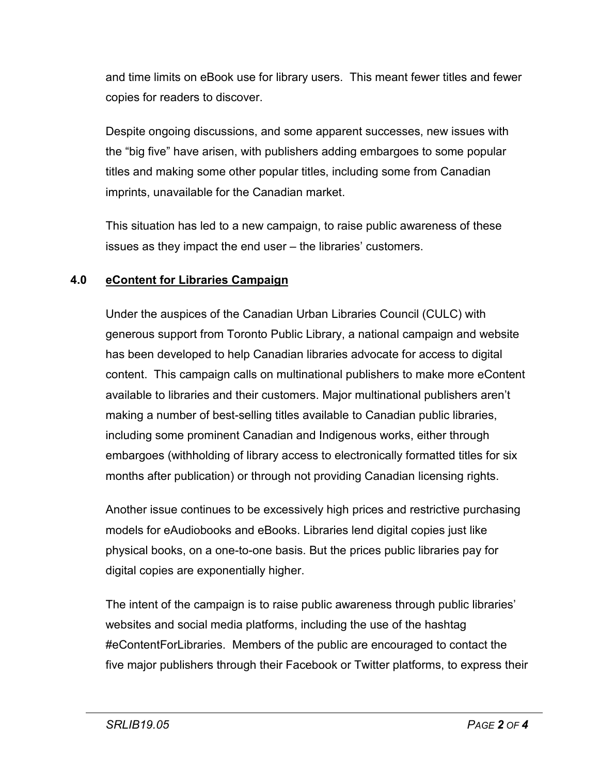and time limits on eBook use for library users. This meant fewer titles and fewer copies for readers to discover.

Despite ongoing discussions, and some apparent successes, new issues with the "big five" have arisen, with publishers adding embargoes to some popular titles and making some other popular titles, including some from Canadian imprints, unavailable for the Canadian market.

This situation has led to a new campaign, to raise public awareness of these issues as they impact the end user – the libraries' customers.

# **4.0 eContent for Libraries Campaign**

Under the auspices of the Canadian Urban Libraries Council (CULC) with generous support from Toronto Public Library, a national campaign and website has been developed to help Canadian libraries advocate for access to digital content. This campaign calls on multinational publishers to make more eContent available to libraries and their customers. Major multinational publishers aren't making a number of best-selling titles available to Canadian public libraries, including some prominent Canadian and Indigenous works, either through embargoes (withholding of library access to electronically formatted titles for six months after publication) or through not providing Canadian licensing rights.

Another issue continues to be excessively high prices and restrictive purchasing models for eAudiobooks and eBooks. Libraries lend digital copies just like physical books, on a one-to-one basis. But the prices public libraries pay for digital copies are exponentially higher.

The intent of the campaign is to raise public awareness through public libraries' websites and social media platforms, including the use of the hashtag #eContentForLibraries. Members of the public are encouraged to contact the five major publishers through their Facebook or Twitter platforms, to express their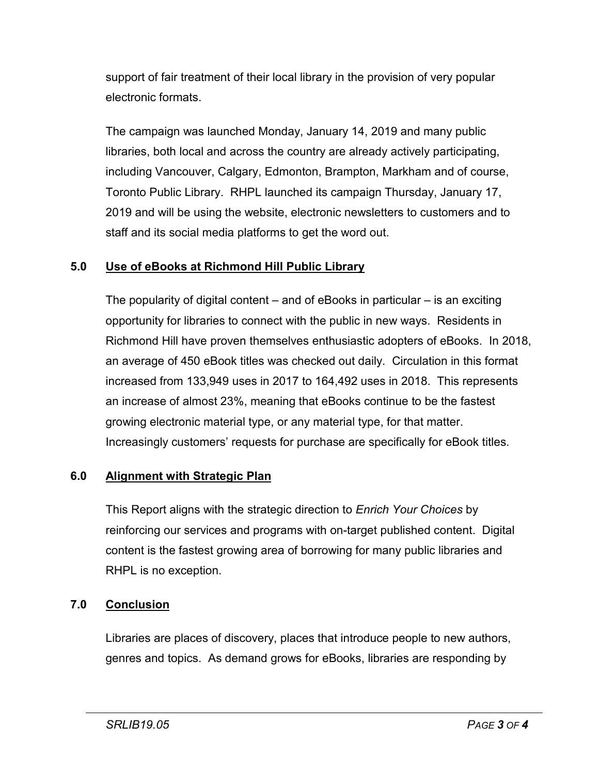support of fair treatment of their local library in the provision of very popular electronic formats.

The campaign was launched Monday, January 14, 2019 and many public libraries, both local and across the country are already actively participating, including Vancouver, Calgary, Edmonton, Brampton, Markham and of course, Toronto Public Library. RHPL launched its campaign Thursday, January 17, 2019 and will be using the website, electronic newsletters to customers and to staff and its social media platforms to get the word out.

# **5.0 Use of eBooks at Richmond Hill Public Library**

The popularity of digital content – and of eBooks in particular – is an exciting opportunity for libraries to connect with the public in new ways. Residents in Richmond Hill have proven themselves enthusiastic adopters of eBooks. In 2018, an average of 450 eBook titles was checked out daily. Circulation in this format increased from 133,949 uses in 2017 to 164,492 uses in 2018. This represents an increase of almost 23%, meaning that eBooks continue to be the fastest growing electronic material type, or any material type, for that matter. Increasingly customers' requests for purchase are specifically for eBook titles.

# **6.0 Alignment with Strategic Plan**

This Report aligns with the strategic direction to *Enrich Your Choices* by reinforcing our services and programs with on-target published content. Digital content is the fastest growing area of borrowing for many public libraries and RHPL is no exception.

# **7.0 Conclusion**

Libraries are places of discovery, places that introduce people to new authors, genres and topics. As demand grows for eBooks, libraries are responding by